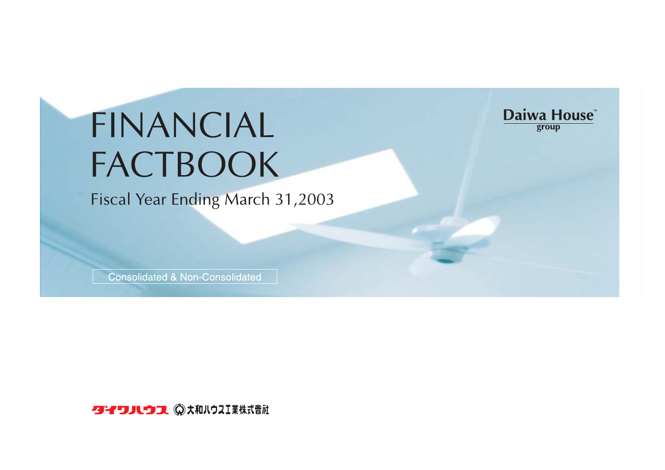# FINANCIAL FACTBOOK

Fiscal Year Ending March 31,2003

Daiwa House group

**Consolidated & Non-Consolidated** 

クイワハウス ◎大和ハウスⅠ業株式會社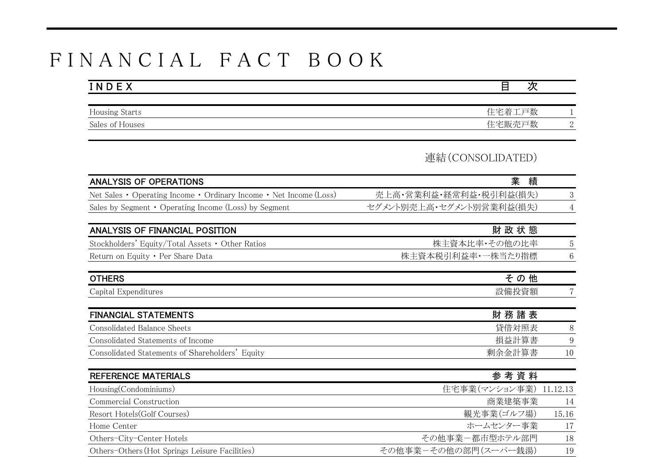## F I N A N C I A L F A C T B O O K

| INDEX                 | γπ<br>⊏ |  |
|-----------------------|---------|--|
|                       |         |  |
| <b>Housing Starts</b> | 住宅着工戸数  |  |
| Sales of Houses       | 住宅販売戸数  |  |

## 連結(CONSOLIDATED)

| <b>ANALYSIS OF OPERATIONS</b>                                      | 業<br>績                   |          |
|--------------------------------------------------------------------|--------------------------|----------|
| Net Sales • Operating Income • Ordinary Income • Net Income (Loss) | 売上高・営業利益・経常利益・税引利益(損失)   | 3        |
| Sales by Segment $\cdot$ Operating Income (Loss) by Segment        | セグメント別売上高・セグメント別営業利益(損失) | 4        |
|                                                                    |                          |          |
| ANALYSIS OF FINANCIAL POSITION                                     | 財政状態                     |          |
| Stockholders' Equity/Total Assets • Other Ratios                   | 株主資本比率・その他の比率            | 5        |
| Return on Equity • Per Share Data                                  | 株主資本税引利益率・一株当たり指標        | 6        |
| <b>OTHERS</b>                                                      | その他                      |          |
| Capital Expenditures                                               | 設備投資額                    |          |
| <b>FINANCIAL STATEMENTS</b>                                        | 財務諸表                     |          |
| Consolidated Balance Sheets                                        | 貸借対照表                    | 8        |
| Consolidated Statements of Income                                  | 損益計算書                    | 9        |
| Consolidated Statements of Shareholders' Equity                    | 剰余金計算書                   | 10       |
| <b>REFERENCE MATERIALS</b>                                         | 参考資料                     |          |
| Housing(Condominiums)                                              | 住宅事業(マンション事業)            | 11.12.13 |
| Commercial Construction                                            | 商業建築事業                   | 14       |
| Resort Hotels(Golf Courses)                                        | 観光事業(ゴルフ場)               | 15.16    |
| Home Center                                                        | ホームセンター事業                | 17       |
| Others-City-Center Hotels                                          | その他事業ー都市型ホテル部門           | 18       |
| Others-Others (Hot Springs Leisure Facilities)                     | その他事業ーその他の部門(スーパー銭湯)     | 19       |
|                                                                    |                          |          |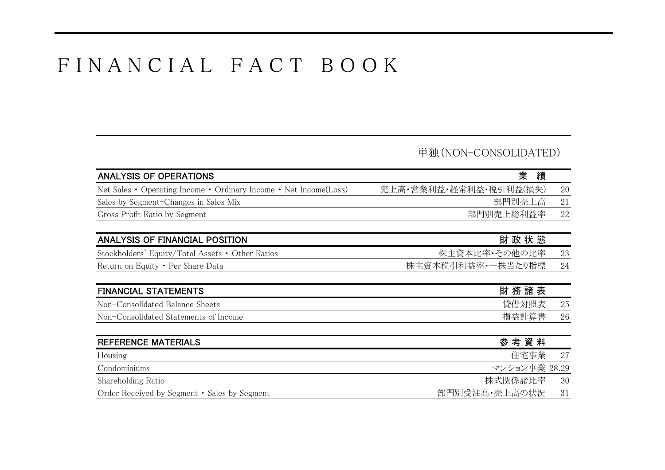## F I N A N C I A L F A C T B O O K

## 単独(NON-CONSOLIDATED)

| ANALYSIS OF OPERATIONS                                            | 業<br>績                 |        |
|-------------------------------------------------------------------|------------------------|--------|
| Net Sales • Operating Income • Ordinary Income • Net Income(Loss) | 売上高・営業利益・経常利益・税引利益(損失) | 20     |
| Sales by Segment-Changes in Sales Mix                             | 部門別売上高                 | 21     |
| Gross Profit Ratio by Segment                                     | 部門別売上総利益率              | 22     |
| ANALYSIS OF FINANCIAL POSITION                                    | 財政状態                   |        |
| Stockholders' Equity/Total Assets • Other Ratios                  | 株主資本比率・その他の比率          | 23     |
| Return on Equity • Per Share Data                                 | 株主資本税引利益率・一株当たり指標      | 24     |
| <b>FINANCIAL STATEMENTS</b>                                       | 財務諸表                   |        |
| Non-Consolidated Balance Sheets                                   | 貸借対照表                  | $25\,$ |
| Non-Consolidated Statements of Income                             | 損益計算書                  | 26     |
| REFERENCE MATERIALS                                               | 参考資料                   |        |
| Housing                                                           | 住宅事業                   | 27     |
| Condominiums                                                      | マンション事業 28.29          |        |
| Shareholding Ratio                                                | 株式関係諸比率                | 30     |
| Order Received by Segment • Sales by Segment                      | 部門別受注高·売上高の状況          | 31     |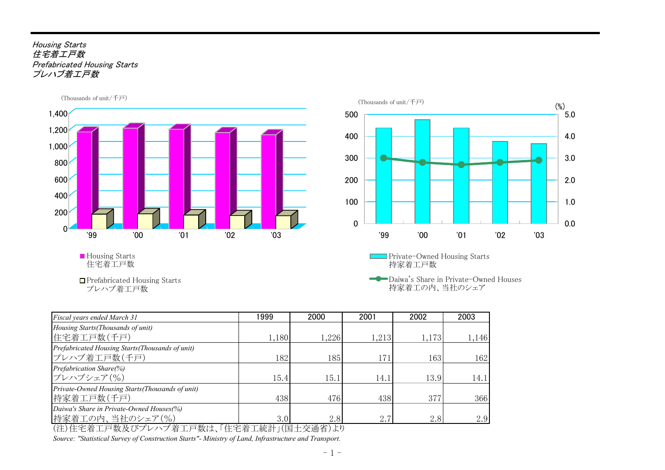#### Housing Starts 住宅着エ戸数 Prefabricated Housing Starts プレハブ着工戸数



住宅着工戸数

■ Prefabricated Housing Starts プレハブ着工戸数



Daiwa's Share in Private-Owned Houses 持家着工の内、当社のシェア

| Fiscal years ended March 31                                                                        | 1999  | 2000                                                                                                                   | 2001  | 2002  | 2003  |
|----------------------------------------------------------------------------------------------------|-------|------------------------------------------------------------------------------------------------------------------------|-------|-------|-------|
| Housing Starts (Thousands of unit)                                                                 |       |                                                                                                                        |       |       |       |
| 住宅着工戸数(千戸)                                                                                         | 1,180 | 1,226                                                                                                                  | 1,213 | 1,173 | 1,146 |
| Prefabricated Housing Starts (Thousands of unit)                                                   |       |                                                                                                                        |       |       |       |
| プレハブ着工戸数(千戸)                                                                                       | 182   | 185                                                                                                                    | 171   | 163   | 162   |
| Prefabrication Share(%)                                                                            |       |                                                                                                                        |       |       |       |
| プレハブシェア(%)                                                                                         | 15.4  | 15.1                                                                                                                   | 14.1  | 13.9  | 14.1  |
| Private-Owned Housing Starts (Thousands of unit)                                                   |       |                                                                                                                        |       |       |       |
| 持家着工戸数(千戸)                                                                                         | 438   | 476                                                                                                                    | 438   | 377   | 366   |
| Daiwa's Share in Private-Owned Houses(%)                                                           |       |                                                                                                                        |       |       |       |
| 持家着工の内、当社のシェア(%)<br>AAAAA <del>AA → →</del> ₩.π ∠w» → → → ₩.α → ΕA. <del>Η ₩.→</del> ← ← 1 → / = τ | 3.0   | 2.8<br>$\rightarrow$ $\rightarrow$ $\rightarrow$ $\rightarrow$ $\rightarrow$ $\rightarrow$ $\rightarrow$ $\rightarrow$ | 2.7   | 2.8   | 2.9   |

(注)住宅着工戸数及びプレハブ着工戸数は、「住宅着工統計」(国土交通省)より

*Source: "Statistical Survey of Construction Starts"- Ministry of Land, Infrastructure and Transport.*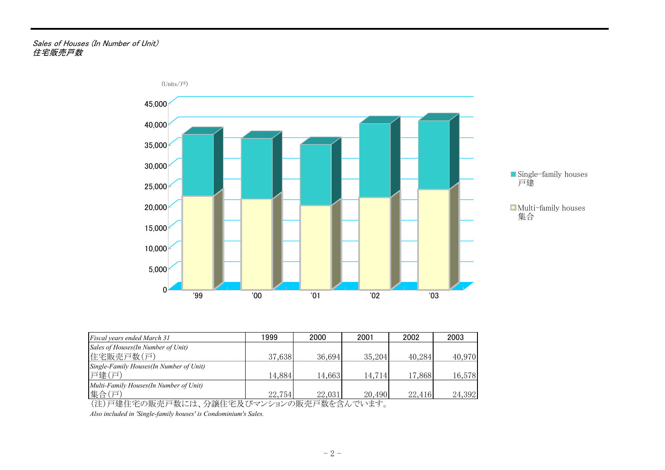#### Sales of Houses (In Number of Unit) 住宅販売戸数



| Fiscal years ended March 31                       | 1999   | 2000   | 2001   | 2002   | 2003   |
|---------------------------------------------------|--------|--------|--------|--------|--------|
| Sales of Houses (In Number of Unit)<br>住宅販売戸数(戸)  | 37.638 | 36.694 | 35,204 | 40,284 | 40,970 |
| Single-Family Houses (In Number of Unit)<br>戸建(戸) | 14,884 | 14,663 | 14,714 | 17,868 | 16,578 |
| Multi-Family Houses (In Number of Unit)<br>集合(戸)  | 22,754 | 22,031 | 20,490 | 22,416 | 24,392 |

(注)戸建住宅の販売戸数には、分譲住宅及びマンションの販売戸数を含んでいます。

*Also included in 'Single-family houses' is Condominium's Sales.*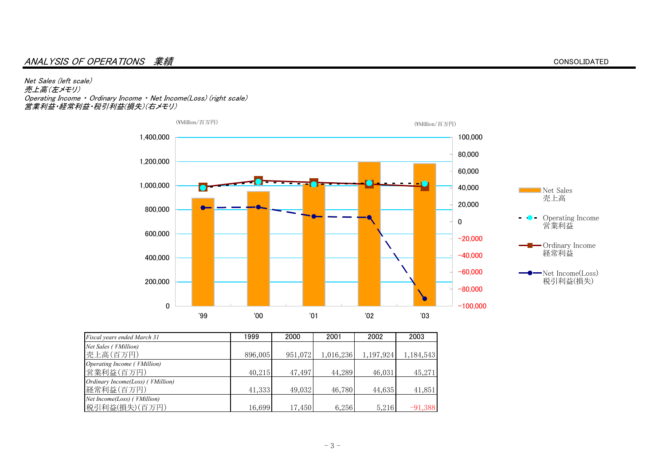#### ANALYSIS OF OPERATIONS 業績

Net Sales (left scale) 売上高(左メモリ) Operating Income ・ Ordinary Income ・ Net Income(Loss) (right scale) 営業利益・経常利益・税引利益(損失)(右メモリ)





| Fiscal years ended March 31                       | 1999    | 2000    | 2001      | 2002      | 2003      |
|---------------------------------------------------|---------|---------|-----------|-----------|-----------|
| Net Sales ( <i>¥Million</i> )                     |         |         |           |           |           |
| 壳上高(百万円)                                          | 896,005 | 951,072 | 1,016,236 | 1,197,924 | 1,184,543 |
| Operating Income ( <i>¥Million</i> )<br>営業利益(百万円) | 40,215  | 47,497  | 44,289    | 46,031    | 45,271    |
| Ordinary Income(Loss) ( ¥Million)<br>経常利益(百万円)    | 41,333  | 49,032  | 46,780    | 44,635    | 41,851    |
| Net Income(Loss) ( ¥Million)<br>税引利益(損失)(百万円)     | 16,699  | 17,450  | 6,256     | 5,216     | $-91,388$ |

CONSOLIDATED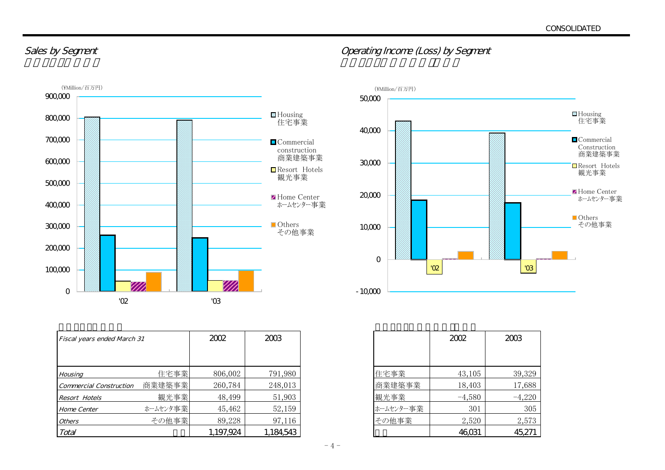### Sales by Segment **Sales by Segment**  $\blacksquare$



| Fiscal years ended March 31    |          | 2002      | 2003      |           | 2002     | 2003     |
|--------------------------------|----------|-----------|-----------|-----------|----------|----------|
|                                |          |           |           |           |          |          |
| Housing                        | 住宅事業     | 806,002   | 791,980   | 住宅事業      | 43,105   | 39,329   |
| <b>Commercial Construction</b> | 商業建築事業   | 260,784   | 248,013   | 商業建築事業    | 18,403   | 17,688   |
| <b>Resort Hotels</b>           | 観光事業     | 48,499    | 51,903    | 観光事業      | $-4,580$ | $-4,220$ |
| Home Center                    | ホームセンタ事業 | 45,462    | 52,159    | ホームセンター事業 | 301      | 305      |
| <i><b>Others</b></i>           | その他事業    | 89,228    | 97,116    | その他事業     | 2,520    | 2,573    |
| Total                          |          | 1,197,924 | 1,184,543 |           | 46,031   | 45,271   |



|           | 200      | 2MB      |
|-----------|----------|----------|
|           |          |          |
| 住宅事業      | 43,105   | 39,329   |
| 商業建築事業    | 18,403   | 17,688   |
| 観光事業      | $-4,580$ | $-4,220$ |
| ホームセンター事業 | 301      | 305      |
| その他事業     | 2,520    | 2,573    |
|           | റ്റ്യ    | 45,271   |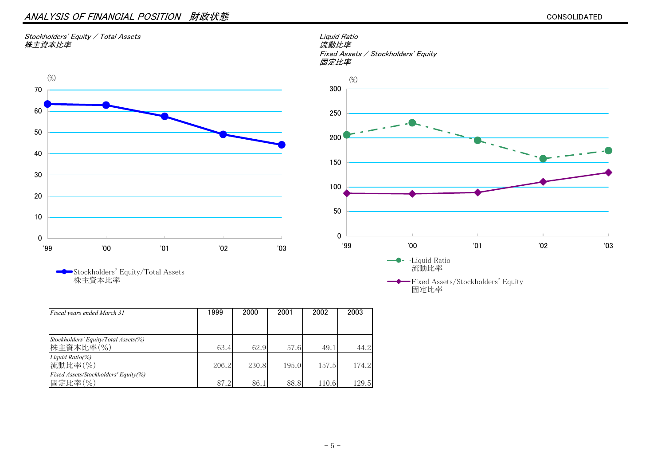#### ANALYSIS OF FINANCIAL POSITION 財政状態

#### Stockholders' Equity / Total Assets Liquid Ratio Liquid Ratio Liquid Ratio Liquid Ratio Liquid Ratio<br>株主資本比率 *株主資本比率*



 Fixed Assets / Stockholders' Equity 固定比率



Stockholders' Equity/Total Assets 株主資本比率

| Fiscal years ended March 31          | 1999  | 2000  | 2001  | 2002  | 2003  |
|--------------------------------------|-------|-------|-------|-------|-------|
|                                      |       |       |       |       |       |
| Stockholders' Equity/Total Assets(%) |       |       |       |       |       |
| 株主資本比率(%)                            | 63.4  | 62.9  | 57.6  | 49.1  | 44.2  |
| Liquid Ratio(%)                      |       |       |       |       |       |
| 流動比率(%)                              | 206.2 | 230.8 | 195.0 | 157.5 | 174.2 |
| Fixed Assets/Stockholders' Equity(%) |       |       |       |       |       |
| 固定比率(%)                              | 87.2  | 86.1  | 88.8  | 110.6 | 129.5 |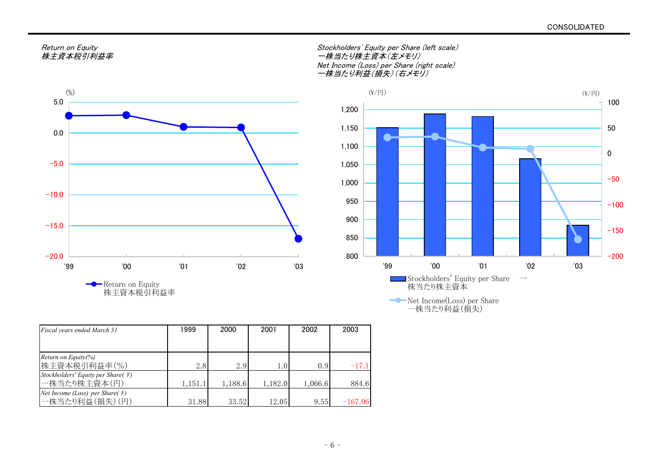

Return on Equity 株主資本税引利益率

| Return on Eauitv | Stockholders' Equity per Share (left scale) |
|------------------|---------------------------------------------|
| 株主資本税引利益率        | 一株当たり株主資本(左メモリ)                             |
|                  | Net Income (Loss) per Share (right scale)   |
|                  | 一株当たり利益(損失)(右メモリ)                           |



Net Income(Loss) per Share 一株当たり利益(損失)

| Fiscal years ended March 31                                | 1999    | 2000    | 2001    | 2002    | 2003      |
|------------------------------------------------------------|---------|---------|---------|---------|-----------|
|                                                            |         |         |         |         |           |
| Return on Equity(%)<br>株主資本税引利益率(%)                        | 2.8     | 2.9     | 1.0     | 0.9     | $-17.1$   |
| Stockholders' Equity per Share( \int \)<br>一株当たり株主資本(円)    | 1,151.1 | 1,188.6 | 1,182.0 | 1,066.6 | 884.6     |
| Net Income (Loss) per Share( $\angle$ #)<br>一株当たり利益(損失)(円) | 31.88   | 33.52   | 12.05   | 9.55    | $-167.06$ |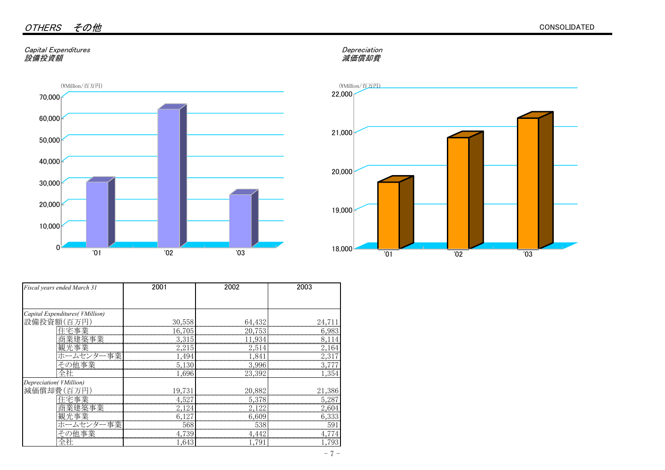#### Capital Expenditures Depreciation 設備投資額

## Depreciation<br>減価償却費



| Fiscal years ended March 31     | 2001                                                                                                                                                                                                                           | 2002   | 2003                                       |
|---------------------------------|--------------------------------------------------------------------------------------------------------------------------------------------------------------------------------------------------------------------------------|--------|--------------------------------------------|
|                                 |                                                                                                                                                                                                                                |        |                                            |
| Capital Expenditures( ¥Million) |                                                                                                                                                                                                                                |        |                                            |
| 設備投資額(百万円                       | 30,558                                                                                                                                                                                                                         | 64,432 |                                            |
|                                 |                                                                                                                                                                                                                                |        | ,,,,,,,,,,,,,,,,,,,,,,,,,,,,,<br>6,983<br> |
|                                 | 3,315                                                                                                                                                                                                                          | 11,934 |                                            |
|                                 | 2,215                                                                                                                                                                                                                          | 2,514  |                                            |
| ホームセンター事業                       | 1,494                                                                                                                                                                                                                          | 1,841  |                                            |
|                                 | 5,130                                                                                                                                                                                                                          | 3,996  |                                            |
| 全社                              | 1,696                                                                                                                                                                                                                          | 23,392 | 1,354                                      |
| Depreciation(¥Million)          |                                                                                                                                                                                                                                |        |                                            |
| 減価償却費(百万)                       | <u>19,731</u>                                                                                                                                                                                                                  | 20,882 |                                            |
|                                 |                                                                                                                                                                                                                                |        |                                            |
|                                 |                                                                                                                                                                                                                                | 2,122  |                                            |
|                                 |                                                                                                                                                                                                                                | 6,609  |                                            |
|                                 | 観光事業    127    127    127    127    127    127    128    129    129    129    129    129    129    129    12<br>   120    120    120    120    120    120    120    120    120    120    120    120    120    120    120    12 | 538    |                                            |
| その他事業                           | 4,739                                                                                                                                                                                                                          | 4,442  |                                            |
|                                 | 1,643                                                                                                                                                                                                                          | .791   |                                            |

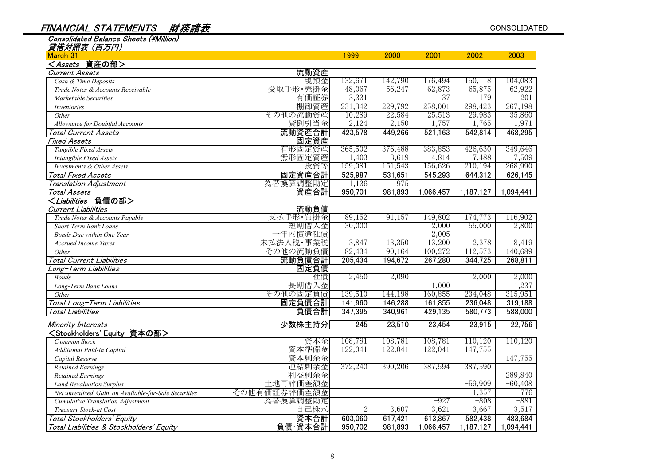#### FINANCIAL STATEMENTS 財務諸表

Consolidated Balance Sheets (\Million)

| March 31                                             |              | 1999     | 2000     | 2001      | 2002      | 2003      |
|------------------------------------------------------|--------------|----------|----------|-----------|-----------|-----------|
| <assets 資産の部=""></assets>                            |              |          |          |           |           |           |
| <b>Current Assets</b>                                | 流動資産         |          |          |           |           |           |
| Cash & Time Deposits                                 | 現預金          | 132,671  | 142,790  | 176,494   | 150,118   | 104,083   |
| Trade Notes & Accounts Receivable                    | 受取手形·売掛金     | 48,067   | 56,247   | 62,873    | 65,875    | 62,922    |
| Marketable Securities                                | 有価証券         | 3,331    |          | 37        | 179       | 201       |
| <i>Inventories</i>                                   | 棚卸資産         | 231,342  | 229,792  | 258,001   | 298,423   | 267,198   |
| Other                                                | その他の流動資産     | 10,289   | 22,584   | 25,513    | 29,983    | 35,860    |
| Allowance for Doubtful Accounts                      | 貸倒引当金        | $-2,124$ | $-2,150$ | $-1,757$  | $-1,765$  | $-1,971$  |
| <b>Total Current Assets</b>                          | 流動資産合計       | 423,578  | 449,266  | 521,163   | 542,814   | 468,295   |
| <b>Fixed Assets</b>                                  | 固定資産         |          |          |           |           |           |
| Tangible Fixed Assets                                | 有形固定資産       | 365,502  | 376,488  | 383,853   | 426,630   | 349,646   |
| Intangible Fixed Assets                              | 無形固定資産       | 1,403    | 3,619    | 4,814     | 7,488     | 7,509     |
| Investments & Other Assets                           | 投資等          | 159,081  | 151,543  | 156,626   | 210,194   | 268,990   |
| <b>Total Fixed Assets</b>                            | 固定資産合計       | 525,987  | 531,651  | 545,293   | 644,312   | 626,145   |
| <b>Translation Adjustment</b>                        | 為替換算調整勘定     | 1,136    | 975      |           |           |           |
| Total Assets                                         | 資産合計         | 950,701  | 981,893  | 1,066,457 | 1,187,127 | 1,094,441 |
| <liabilities 負債の部=""></liabilities>                  |              |          |          |           |           |           |
| <b>Current Liabilities</b>                           | 流動負債         |          |          |           |           |           |
| Trade Notes & Accounts Payable                       | 支払手形・買掛金     | 89,152   | 91,157   | 149,802   | 174,773   | 116,902   |
| Short-Term Bank Loans                                | 短期借入金        | 30,000   |          | 2,000     | 55,000    | 2,800     |
| Bonds Due within One Year                            | 一年内償還社債      |          |          | 2,005     |           |           |
| Accrued Income Taxes                                 | 未払法人税・事業税    | 3,847    | 13,350   | 13,200    | 2,378     | 8,419     |
| Other                                                | その他の流動負債     | 82,434   | 90,164   | 100,272   | 112,573   | 140,689   |
| <b>Total Current Liabilities</b>                     | 流動負債合計       | 205,434  | 194,672  | 267,280   | 344,725   | 268,811   |
| ong-Term Liabilities                                 | 固定負債         |          |          |           |           |           |
| <b>Bonds</b>                                         | 社債           | 2,450    | 2,090    |           | 2,000     | 2,000     |
| Long-Term Bank Loans                                 | 長期借入金        |          |          | 1,000     |           | 1,237     |
| Other                                                | その他の固定負債     | 139,510  | 144,198  | 160,855   | 234,048   | 315,951   |
| Total Long-Term Liabilities                          | 固定負債合計       | 141,960  | 146,288  | 161,855   | 236,048   | 319,188   |
| <b>Total Liabilities</b>                             | 負債合計         | 347,395  | 340,961  | 429,135   | 580,773   | 588,000   |
| Minority Interests                                   | 少数株主持分       | 245      | 23,510   | 23,454    | 23,915    | 22,756    |
| <stockholders' equity="" 資本の部=""></stockholders'>    |              |          |          |           |           |           |
| Common Stock                                         | 資本金          | 108,781  | 108,781  | 108,781   | 110,120   | 110,120   |
| Additional Paid-in Capital                           | 資本準備金        | 122,041  | 122,041  | 122,041   | 147,755   |           |
| Capital Reserve                                      | 資本剰余金        |          |          |           |           | 147,755   |
| <b>Retained Earnings</b>                             | 連結剰余金        | 372,240  | 390,206  | 387,594   | 387,590   |           |
| <b>Retained Earnings</b>                             | 利益剰余金        |          |          |           |           | 289,840   |
| <b>Land Revaluation Surplus</b>                      | 土地再評価差額金     |          |          |           | $-59,909$ | $-60,408$ |
| Net unrealized Gain on Available-for-Sale Securities | その他有価証券評価差額金 |          |          |           | 1,357     | 776       |
| Cumulative Translation Adjustment                    | 為替換算調整勘定     |          |          | $-927$    | $-808$    | $-881$    |
| Treasury Stock-at Cost                               | 自己株式         | $-2$     | $-3,607$ | $-3,621$  | $-3,667$  | $-3,517$  |
| Total Stockholders' Equity                           | 資本合計         | 603,060  | 617,421  | 613,867   | 582,438   | 483,684   |
| Total Liabilities & Stockholders' Equity             | 負債·資本合計      | 950,702  | 981,893  | 1,066,457 | 1,187,127 | ,094,441  |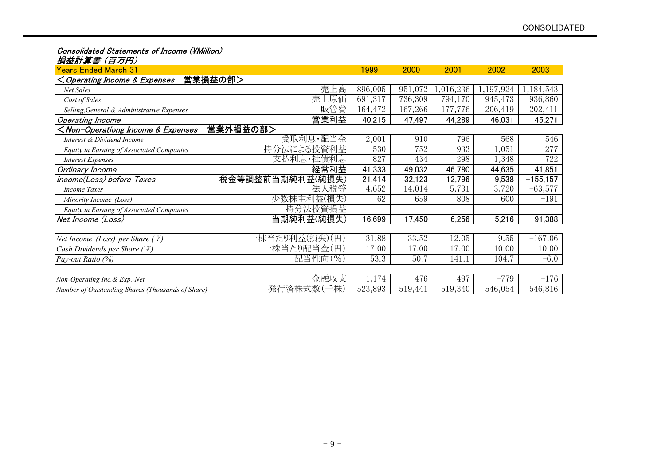#### Consolidated Statements of Income (¥Million)

#### 損益計算書 (百万円)

| <b>Years Ended March 31</b>                                                                                                          |                  | 1999    | 2000    | 2001     | 2002      | 2003        |
|--------------------------------------------------------------------------------------------------------------------------------------|------------------|---------|---------|----------|-----------|-------------|
| <operating &="" expenses<="" income="" th=""><th>営業損益の部&gt;</th><th></th><th></th><th></th><th></th><th></th></operating>            | 営業損益の部>          |         |         |          |           |             |
| Net Sales                                                                                                                            | 売上高              | 896,005 | 951,072 | ,016,236 | 1,197,924 | 1,184,543   |
| Cost of Sales                                                                                                                        | 売上原価             | 691,317 | 736,309 | 794,170  | 945,473   | 936,860     |
| Selling, General & Administrative Expenses                                                                                           | 販管費              | 164,472 | 167,266 | 177,776  | 206,419   | 202,411     |
| Operating Income                                                                                                                     | 営業利益             | 40,215  | 47,497  | 44,289   | 46,031    | 45,271      |
| <non-operationg &="" expenses<="" income="" td=""><td>営業外損益の部&gt;</td><td></td><td></td><td></td><td></td><td></td></non-operationg> | 営業外損益の部>         |         |         |          |           |             |
| Interest & Dividend Income                                                                                                           | 受取利息・配当金         | 2,001   | 910     | 796      | 568       | 546         |
| Equity in Earning of Associated Companies                                                                                            | 持分法による投資利益       | 530     | 752     | 933      | 1,051     | 277         |
| <b>Interest Expenses</b>                                                                                                             | 支払利息·社債利息        | 827     | 434     | 298      | 1,348     | 722         |
| Ordinary Income                                                                                                                      | 経常利益             | 41,333  | 49,032  | 46,780   | 44,635    | 41,851      |
| Income(Loss) before Taxes                                                                                                            | 税金等調整前当期純利益(純損失) | 21,414  | 32,123  | 12,796   | 9,538     | $-155, 157$ |
| <b>Income Taxes</b>                                                                                                                  | 法人税等             | 4,652   | 14,014  | 5,731    | 3,720     | $-63,577$   |
| Minority Income (Loss)                                                                                                               | 少数株主利益(損失)       | 62      | 659     | 808      | 600       | $-191$      |
| Equity in Earning of Associated Companies                                                                                            | 持分法投資損益          |         |         |          |           |             |
| Net Income (Loss)                                                                                                                    | 当期純利益(純損失)       | 16,699  | 17,450  | 6,256    | 5,216     | $-91,388$   |
|                                                                                                                                      |                  |         |         |          |           |             |
| Net Income (Loss) per Share $(F)$                                                                                                    | 一株当たり利益(損失)(円)   | 31.88   | 33.52   | 12.05    | 9.55      | $-167.06$   |
| Cash Dividends per Share $($ \int })                                                                                                 | 一株当たり配当金(円)      | 17.00   | 17.00   | 17.00    | 10.00     | 10.00       |
| Pay-out Ratio (%)                                                                                                                    | 配当性向(%)          | 53.3    | 50.7    | 141.1    | 104.7     | $-6.0$      |
|                                                                                                                                      |                  |         |         |          |           |             |
| Non-Operating Inc. & Exp.-Net                                                                                                        | 金融収支             | 1,174   | 476     | 497      | $-779$    | $-176$      |
| Number of Outstanding Shares (Thousands of Share)                                                                                    | 発行済株式数(千株)       | 523,893 | 519,441 | 519,340  | 546,054   | 546,816     |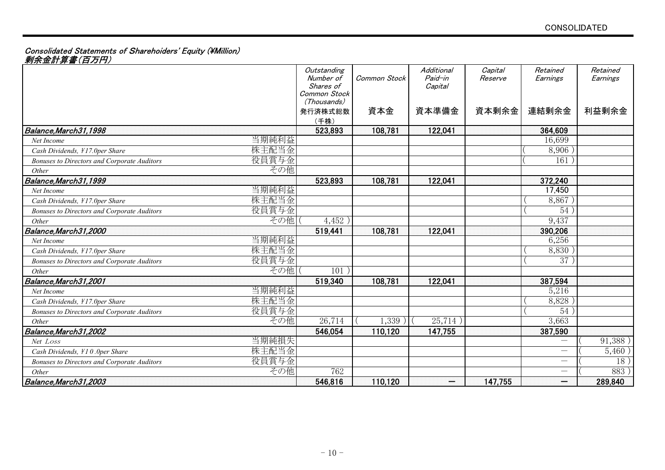#### Consolidated Statements of Sharehoiders' Equity (¥Million)

剰余金計算書(百万円)

|                                                    |       | Outstanding<br>Number of<br>Shares of<br>Common Stock<br>(Thousands) | Common Stock | Additional<br>Paid-in<br>Capital | Capital<br>Reserve | Retained<br>Earnings            | Retained<br>Earnings |
|----------------------------------------------------|-------|----------------------------------------------------------------------|--------------|----------------------------------|--------------------|---------------------------------|----------------------|
|                                                    |       | 発行済株式総数<br>(千株)                                                      | 資本金          | 資本準備金                            | 資本剰余金              | 連結剰余金                           | 利益剰余金                |
| Balance, March 31, 1998                            |       | 523,893                                                              | 108,781      | 122,041                          |                    | 364,609                         |                      |
| Net Income                                         | 当期純利益 |                                                                      |              |                                  |                    | 16,699                          |                      |
| Cash Dividends, ¥17.0per Share                     | 株主配当金 |                                                                      |              |                                  |                    | 8,906                           |                      |
| Bonuses to Directors and Corporate Auditors        | 役員賞与金 |                                                                      |              |                                  |                    | 161                             |                      |
| Other                                              | その他   |                                                                      |              |                                  |                    |                                 |                      |
| Balance, March 31, 1999                            |       | 523,893                                                              | 108,781      | 122,041                          |                    | 372,240                         |                      |
| Net Income                                         | 当期純利益 |                                                                      |              |                                  |                    | 17,450                          |                      |
| Cash Dividends, ¥17.0per Share                     | 株主配当金 |                                                                      |              |                                  |                    | 8,867                           |                      |
| <b>Bonuses to Directors and Corporate Auditors</b> | 役員賞与金 |                                                                      |              |                                  |                    | 54                              |                      |
| Other                                              | その他   | 4,452                                                                |              |                                  |                    | 9,437                           |                      |
| Balance, March 31, 2000                            |       | 519,441                                                              | 108,781      | 122,041                          |                    | 390,206                         |                      |
| Net Income                                         | 当期純利益 |                                                                      |              |                                  |                    | 6,256                           |                      |
| Cash Dividends, ¥17.0per Share                     | 株主配当金 |                                                                      |              |                                  |                    | 8,830                           |                      |
| <b>Bonuses to Directors and Corporate Auditors</b> | 役員賞与金 |                                                                      |              |                                  |                    | 37 <sup>2</sup>                 |                      |
| Other                                              | その他   | 101                                                                  |              |                                  |                    |                                 |                      |
| Balance, March 31, 2001                            |       | 519,340                                                              | 108,781      | 122,041                          |                    | 387,594                         |                      |
| Net Income                                         | 当期純利益 |                                                                      |              |                                  |                    | 5,216                           |                      |
| Cash Dividends, ¥17.0per Share                     | 株主配当金 |                                                                      |              |                                  |                    | 8,828                           |                      |
| <b>Bonuses to Directors and Corporate Auditors</b> | 役員賞与金 |                                                                      |              |                                  |                    | 54                              |                      |
| Other                                              | その他   | 26,714                                                               | 1,339)       | 25,714)                          |                    | 3,663                           |                      |
| Balance, March31,2002                              |       | 546,054                                                              | 110,120      | 147,755                          |                    | 387,590                         |                      |
| Net Loss                                           | 当期純損失 |                                                                      |              |                                  |                    | $\hspace{0.1mm}-\hspace{0.1mm}$ | 91,388)              |
| Cash Dividends, ¥10.0per Share                     | 株主配当金 |                                                                      |              |                                  |                    | $\overline{\phantom{0}}$        | 5,460)               |
| <b>Bonuses to Directors and Corporate Auditors</b> | 役員賞与金 |                                                                      |              |                                  |                    | $\overline{\phantom{0}}$        | 18 <sup>2</sup>      |
| Other                                              | その他   | 762                                                                  |              |                                  |                    | $\qquad \qquad$                 | 883                  |
| Balance, March 31, 2003                            |       | 546,816                                                              | 110,120      | $\overline{\phantom{a}}$         | 147,755            | $=$                             | 289,840              |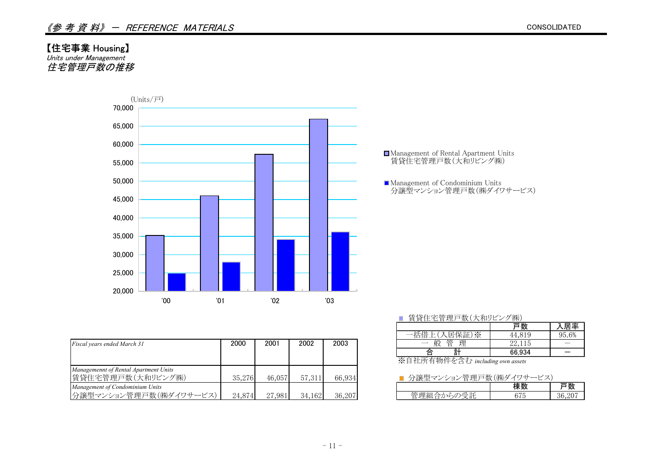#### 【住宅事業 Housing】

Units under Management 住宅管理戸数の推移



|                                       |        |        |        |        | コロエロコエ ハノヘルロ アトロエル ノハ           | <b>TT,VIJ</b> | $JU$ . $U/U$ |
|---------------------------------------|--------|--------|--------|--------|---------------------------------|---------------|--------------|
| Fiscal years ended March 31           | 2000   | 2001   | 2002   | 2003   | 般<br>理<br>管                     | 22,115        |              |
|                                       |        |        |        |        |                                 | 66.934        |              |
|                                       |        |        |        |        | ※自社所有物件を含む including own assets |               |              |
| Managemennt of Rental Apartment Units |        |        |        |        |                                 |               |              |
| 賃貸住宅管理戸数(大和リビング㈱)                     | 35,276 | 46,057 | 57,311 | 66.934 | ■ 分譲型マンション管理戸数(㈱ダイワサービス)        |               |              |
| Management of Condominium Units       |        |        |        |        |                                 | 棟数            | 戸数           |
| 分譲型マンション管理戸数(㈱ダイワサービス)                | 24,874 | 27,981 | 34,162 | 36,207 | 管理組合からの受託                       | 675           | 36,207       |

#### ■ 賃貸住宅管理戸数(大和リビング㈱)

|             |                                  | 民率                    |
|-------------|----------------------------------|-----------------------|
| -≫          | 1 Q                              | $6\%$<br>$\mathbf{H}$ |
| 管<br>設<br>理 | 115<br>$\omega\Delta$ , $\Gamma$ |                       |
| -<br>빍<br>≘ | 66.934                           |                       |

#### ■ 分譲型マンション管理戸数(㈱ダイワサービス)

| $\overline{\phantom{a}}$<br>--<br>$-$<br>u<br>٠<br>-<br>.<br>- | ◡ | $\sim$ $\sim$ |
|----------------------------------------------------------------|---|---------------|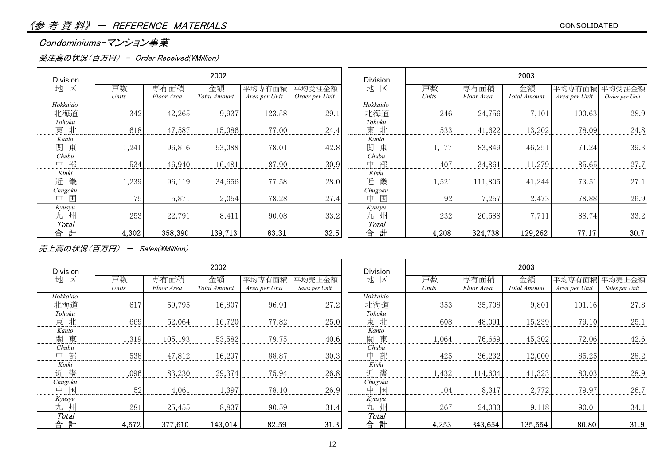#### Condominiums-マンション事業

#### 受注高の状況(百万円) - Order Received(\Million)

| <b>Division</b> |       |            | 2002         |               |                | <b>Division</b> | 2003  |            |              |               |                |
|-----------------|-------|------------|--------------|---------------|----------------|-----------------|-------|------------|--------------|---------------|----------------|
| 区<br>地          | 戸数    | 専有面積       | 金額           | 平均専有面積        | 平均受注金額         | 地 区             | 戸数    | 専有面積       | 金額           | 平均専有面積        | 平均受注金額         |
|                 | Units | Floor Area | Total Amount | Area per Unit | Order per Unit |                 | Units | Floor Area | Total Amount | Area per Unit | Order per Unit |
| Hokkaido        |       |            |              |               |                | Hokkaido        |       |            |              |               |                |
| 北海道             | 342   | 42,265     | 9,937        | 123.58        | 29.1           | 北海道             | 246   | 24,756     | 7,101        | 100.63        | 28.9           |
| Tohoku          |       |            |              |               |                | Tohoku          |       |            |              |               |                |
| 北<br>東          | 618   | 47,587     | 15,086       | 77.00         | 24.4           | 東北              | 533   | 41,622     | 13,202       | 78.09         | 24.8           |
| Kanto           |       |            |              |               |                | Kanto           |       |            |              |               |                |
| 東<br>関          | 1,241 | 96,816     | 53,088       | 78.01         | 42.8           | 関東              | 1,177 | 83,849     | 46,251       | 71.24         | 39.3           |
| Chubu           |       |            |              |               |                | Chubu           |       |            |              |               |                |
| 部<br>中          | 534   | 46,940     | 16,481       | 87.90         | 30.9           | 部<br>中          | 407   | 34,861     | 11,279       | 85.65         | 27.7           |
| Kinki           |       |            |              |               |                | Kinki           |       |            |              |               |                |
| 畿<br>近          | ,239  | 96,119     | 34,656       | 77.58         | 28.0           | 近畿              | 1,521 | 111,805    | 41,244       | 73.51         | 27.1           |
| Chugoku         |       |            |              |               |                | Chugoku         |       |            |              |               |                |
| 国<br>中          | 75    | 5,871      | 2,054        | 78.28         | 27.4           | 中 国             | 92    | 7,257      | 2,473        | 78.88         | 26.9           |
| Kyusyu          |       |            |              |               |                | Kyusyu          |       |            |              |               |                |
| 九州              | 253   | 22,791     | 8,411        | 90.08         | 33.2           | 九州              | 232   | 20,588     | 7,711        | 88.74         | 33.2           |
| Total           |       |            |              |               |                | Total           |       |            |              |               |                |
| 計<br>合          | 4,302 | 358,390    | 139,713      | 83.31         | 32.5           | 計<br>合          | 4,208 | 324,738    | 129,262      | 77.17         | 30.7           |

売上高の状況(百万円) - Sales(\Million)

| <b>Division</b> |       |            | 2002         |               |                | <b>Division</b> | 2003  |            |              |               |                |
|-----------------|-------|------------|--------------|---------------|----------------|-----------------|-------|------------|--------------|---------------|----------------|
| 地 区             | 戸数    | 専有面積       | 金額           | 平均専有面積        | 平均売上金額         | 地 区             | 戸数    | 専有面積       | 金額           | 平均専有面積        | 平均売上金額         |
|                 | Units | Floor Area | Total Amount | Area per Unit | Sales per Unit |                 | Units | Floor Area | Total Amount | Area per Unit | Sales per Unit |
| Hokkaido        |       |            |              |               |                | Hokkaido        |       |            |              |               |                |
| 北海道             | 617   | 59,795     | 16,807       | 96.91         | 27.2           | 北海道             | 353   | 35,708     | 9,801        | 101.16        | 27.8           |
| Tohoku          |       |            |              |               |                | Tohoku          |       |            |              |               |                |
| 東北              | 669   | 52,064     | 16,720       | 77.82         | 25.0           | 東北              | 608   | 48,091     | 15,239       | 79.10         | 25.1           |
| Kanto           |       |            |              |               |                | Kanto           |       |            |              |               |                |
| 関東              | 1,319 | 105,193    | 53,582       | 79.75         | 40.6           | 関東              | 1,064 | 76,669     | 45,302       | 72.06         | 42.6           |
| Chubu           |       |            |              |               |                | Chubu           |       |            |              |               |                |
| 部<br>中          | 538   | 47,812     | 16,297       | 88.87         | 30.3           | 中部              | 425   | 36,232     | 12,000       | 85.25         | 28.2           |
| Kinki           |       |            |              |               |                | Kinki           |       |            |              |               |                |
| 畿<br>近          | 1,096 | 83,230     | 29,374       | 75.94         | 26.8           | 近畿              | 1,432 | 114,604    | 41,323       | 80.03         | 28.9           |
| Chugoku         |       |            |              |               |                | Chugoku         |       |            |              |               |                |
| 国<br>中          | 52    | 4,061      | 1,397        | 78.10         | 26.9           | 国<br>中          | 104   | 8,317      | 2,772        | 79.97         | 26.7           |
| Kyusyu          |       |            |              |               |                | Kyusyu          |       |            |              |               |                |
| 九州              | 281   | 25,455     | 8,837        | 90.59         | 31.4           | 九 州             | 267   | 24,033     | 9,118        | 90.01         | 34.1           |
| <b>Total</b>    |       |            |              |               |                | Total           |       |            |              |               |                |
| 計<br>合          | 4,572 | 377,610    | 143,014      | 82.59         | 31.3           | 計<br>合          | 4,253 | 343,654    | 135,554      | 80.80         | 31.9           |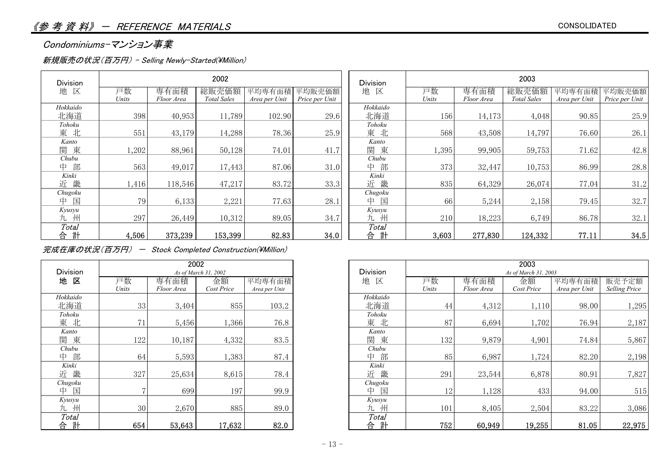#### Condominiums-マンション事業

#### 新規販売の状況(百万円) - Selling Newly-Started(\Million)

| Division          |             |                    | 2002                        |                         |                          | <b>Division</b>        | 2003        |                    |                             |                         |                          |
|-------------------|-------------|--------------------|-----------------------------|-------------------------|--------------------------|------------------------|-------------|--------------------|-----------------------------|-------------------------|--------------------------|
| 区<br>地            | 戸数<br>Units | 専有面積<br>Floor Area | 総販売価額<br><b>Total Sales</b> | 平均専有面積<br>Area per Unit | 平均販売価額<br>Price per Unit | 地 区                    | 戸数<br>Units | 専有面積<br>Floor Area | 総販売価額<br><b>Total Sales</b> | 平均専有面積<br>Area per Unit | 平均販売価額<br>Price per Unit |
| Hokkaido<br>北海道   | 398         | 40,953             | 11,789                      | 102.90                  | 29.6                     | Hokkaido<br>北海道        | 156         | 14,173             | 4,048                       | 90.85                   | 25.9                     |
| Tohoku<br>北<br>東  | 551         | 43,179             | 14,288                      | 78.36                   | 25.9                     | Tohoku<br>東 北          | 568         | 43,508             | 14,797                      | 76.60                   | 26.1                     |
| Kanto<br>東<br>関   | ,202        | 88,961             | 50,128                      | 74.01                   | 41.7                     | Kanto<br>東<br>関        | 1,395       | 99,905             | 59,753                      | 71.62                   | 42.8                     |
| Chubu<br>部<br>中   | 563         | 49,017             | 17,443                      | 87.06                   | 31.0                     | Chubu<br>部<br>中        | 373         | 32,447             | 10,753                      | 86.99                   | 28.8                     |
| Kinki<br>畿<br>近   | 1,416       | 118,546            | 47,217                      | 83.72                   | 33.3                     | Kinki<br>畿<br>近        | 835         | 64,329             | 26,074                      | 77.04                   | 31.2                     |
| Chugoku<br>国<br>中 | 79          | 6,133              | 2,221                       | 77.63                   | 28.1                     | Chugoku<br>国<br>中      | 66          | 5,244              | 2,158                       | 79.45                   | 32.7                     |
| Kyusyu<br>九 州     | 297         | 26,449             | 10,312                      | 89.05                   | 34.7                     | Kyusyu<br>九州           | 210         | 18,223             | 6,749                       | 86.78                   | 32.1                     |
| Total<br>計<br>合   | 4,506       | 373,239            | 153,399                     | 82.83                   | 34.0                     | <b>Total</b><br>計<br>合 | 3,603       | 277,830            | 124,332                     | 77.11                   | 34.5                     |

#### 完成在庫の状況(百万円) - Stock Completed Construction(\Million)

|                 |                | 2002       |                      |               |                 |
|-----------------|----------------|------------|----------------------|---------------|-----------------|
| <b>Division</b> |                |            | As of March 31, 2002 |               | <b>Division</b> |
| 地 区             | 戸数             | 専有面積       | 金額                   | 平均専有面積        | 地<br>区          |
|                 | Units          | Floor Area | Cost Price           | Area per Unit |                 |
| Hokkaido        |                |            |                      |               | Hokkaido        |
| 北海道             | 33             | 3,404      | 855                  | 103.2         | 北海道             |
| Tohoku          |                |            |                      |               | Tohoku          |
| 東 北             | 71             | 5,456      | 1,366                | 76.8          | 東 北             |
| Kanto           |                |            |                      |               | Kanto           |
| 関<br>東          | 122            | 10,187     | 4,332                | 83.5          | 東<br>関          |
| Chubu           |                |            |                      |               | Chubu           |
| 部<br>中          | 64             | 5,593      | 1,383                | 87.4          | 部<br>中          |
| Kinki           |                |            |                      |               | Kinki           |
| 近畿              | 327            | 25,634     | 8,615                | 78.4          | 畿<br>近          |
| Chugoku         |                |            |                      |               | Chugoku         |
| 中<br>国          | $\overline{7}$ | 699        | 197                  | 99.9          | 中<br>国          |
| Kyusyu          |                |            |                      |               | Kyusyu          |
| 州<br>九          | 30             | 2,670      | 885                  | 89.0          | 州<br>九          |
| Total           |                |            |                      |               | Total           |
| 計<br>台          | 654            | 53,643     | 17,632               | 82.0          | 計<br>合          |

|                 |       |            | 2002                 |               |                 | 2003<br>As of March 31, 2003 |            |            |               |                      |  |
|-----------------|-------|------------|----------------------|---------------|-----------------|------------------------------|------------|------------|---------------|----------------------|--|
| <b>Division</b> |       |            | As of March 31, 2002 |               | <b>Division</b> |                              |            |            |               |                      |  |
| 地区              | 戸数    | 専有面積       | 金額                   | 平均専有面積        | 地区              | 戸数                           | 専有面積       | 金額         | 平均専有面積        | 販売予定額                |  |
|                 | Units | Floor Area | Cost Price           | Area per Unit |                 | Units                        | Floor Area | Cost Price | Area per Unit | <b>Selling Price</b> |  |
| <b>Iokkaido</b> |       |            |                      |               | Hokkaido        |                              |            |            |               |                      |  |
| 北海道             | 33    | 3,404      | 855                  | 103.2         | 北海道             | 44                           | 4,312      | 1,110      | 98.00         | 1,295                |  |
| Tohoku          |       |            |                      |               | Tohoku          |                              |            |            |               |                      |  |
| 東北              | 71    | 5,456      | ,366                 | 76.8          | 東北              | 87                           | 6,694      | 1,702      | 76.94         | 2,187                |  |
| Kanto           |       |            |                      |               | Kanto           |                              |            |            |               |                      |  |
| 関東              | 122   | 10,187     | 4,332                | 83.5          | 関<br>東          | 132                          | 9,879      | 4,901      | 74.84         | 5,867                |  |
| Chubu           |       |            |                      |               | Chubu           |                              |            |            |               |                      |  |
| 中部              | 64    | 5,593      | 1,383                | 87.4          | 部<br>中          | 85                           | 6,987      | 1,724      | 82.20         | 2,198                |  |
| Kinki           |       |            |                      |               | Kinki           |                              |            |            |               |                      |  |
| 近畿              | 327   | 25,634     | 8,615                | 78.4          | 畿<br>近          | 291                          | 23,544     | 6,878      | 80.91         | 7,827                |  |
| Chugoku         |       |            |                      |               | Chugoku         |                              |            |            |               |                      |  |
| 中 国             |       | 699        | 197                  | 99.9          | 国<br>中          | 12                           | 1,128      | 433        | 94.00         | 515                  |  |
| Kyusyu          |       |            |                      |               | Kyusyu          |                              |            |            |               |                      |  |
| 九州              | 30    | 2,670      | 885                  | 89.0          | 九州              | 101                          | 8,405      | 2,504      | 83.22         | 3,086                |  |
| Total           |       |            |                      |               | Total           |                              |            |            |               |                      |  |
| 合計              | 654   | 53,643     | 17,632               | 82.0          | 計<br>合          | $752_1$                      | 60,949     | 19,255     | 81.05         | 22,975               |  |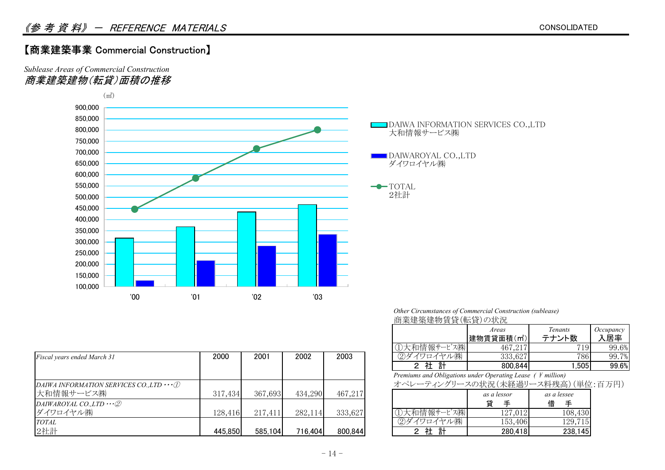#### 【商業建築事業 Commercial Construction】

*Sublease Areas of Commercial Construction* 商業建築建物(転貸)面積の推移



| <i>Other Circumstances of Commercial Construction (sublease)</i> |  |
|------------------------------------------------------------------|--|
| 商業建築建物賃貸(転貸)の状況                                                  |  |

|                     | Areas                   | Tenants | Occupancy |
|---------------------|-------------------------|---------|-----------|
|                     | 建物賃貸面積(m <sup>2</sup> ) | テナント数   | 居率        |
| フ仕上<br> 情報サ<br>$-1$ | 017<br>467              | 19      | 99.6%     |
| ㈱                   | 333,627                 | 786     | 7%<br>99. |
| ◠                   | 800,844                 | .505    | 99.6%     |

|           | as a lessor | as a lessee  |
|-----------|-------------|--------------|
|           | 貸<br>∓      | 借<br>∓       |
| 情報サービス(株) | 127,012     | 108,430      |
|           | 153,406     | 129,<br>15   |
| ħ         | 280.        | .45.<br>238. |

|                                                  |         |         |         |         | マンノヘイロ   日 干以 ソー<br>$\cup$ $\wedge$ $\vee$ $\wedge$              | 101,211     | 1 J I       | JJ.VA |
|--------------------------------------------------|---------|---------|---------|---------|------------------------------------------------------------------|-------------|-------------|-------|
| Fiscal years ended March 31                      | 2000    | 2001    | 2002    | 2003    | ②ダイワロイヤル㈱                                                        | 333,627     | 786.        | 99.7% |
|                                                  |         |         |         |         | 社計                                                               | 800,844     | .505        | 99.6% |
|                                                  |         |         |         |         | Premiums and Obligations under Operating Lease $($ ¥ million $)$ |             |             |       |
| DAIWA INFORMATION SERVICES CO., LTD $\cdots$ (1) |         |         |         |         | オペレーティングリースの状況 (未経過リース料残高) (単位:百万円)                              |             |             |       |
| 大和情報サービス(株)                                      | 317,434 | 367,693 | 434,290 | 467,217 |                                                                  | as a lessor | as a lessee |       |
| DAIWAROYAL CO., LTD $\cdots \oslash$             |         |         |         |         |                                                                  |             | 借           |       |
| ダイワロイヤル㈱                                         | 128,416 | 217,411 | 282,114 | 333,627 | ①大和情報サービス(株)                                                     | 127,012     | 108,430     |       |
| <b>TOTAL</b>                                     |         |         |         |         | ②ダイワロイヤル㈱                                                        | 153,406     | 129,715     |       |
| 2社計                                              | 445,850 | 585,104 | 716,404 | 800,844 | 社計                                                               | 280,418     | 238,145     |       |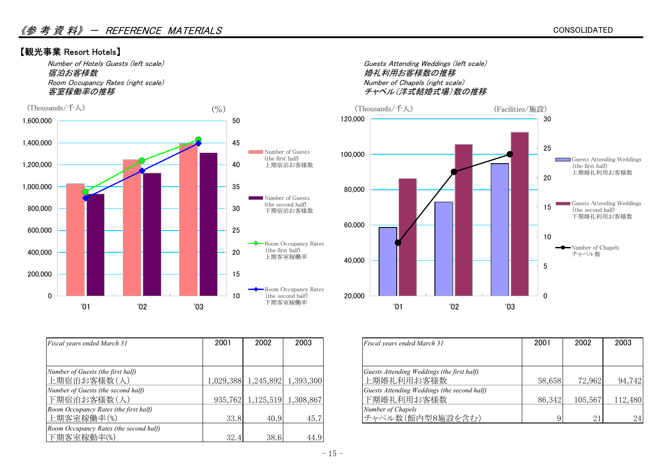#### 【観光事業 Resort Hotels】

宿泊お客様数 Room Occupancy Rates (right scale) Number of Chapels (right scale)



| Fiscal years ended March 31            | 2001 | 2002                          | 2003 | Fiscal years ended March 31                 | 2001   | 2002    | 2003  |
|----------------------------------------|------|-------------------------------|------|---------------------------------------------|--------|---------|-------|
|                                        |      |                               |      |                                             |        |         |       |
| Number of Guests (the first half)      |      |                               |      | Guests Attending Weddings (the first half)  |        |         |       |
| 上期宿泊お客様数(人)                            |      | 1,029,388 1,245,892 1,393,300 |      | 上期婚礼利用お客様数                                  | 58,658 | 72,962  | 94,   |
| Number of Guests (the second half)     |      |                               |      | Guests Attending Weddings (the second half) |        |         |       |
| 下期宿泊お客様数(人)                            |      | 935,762 1,125,519 1,308,867   |      | 下期婚礼利用お客様数                                  | 86,342 | 105,567 | 112,4 |
| Room Occupancy Rates (the first half)  |      |                               |      | Number of Chapels                           |        |         |       |
| 上期客室稼働率(%)                             | 33.8 | 40.9                          | 45.7 | チャペル数(館内型8施設を含む)                            |        | 21      |       |
| Room Occupancy Rates (the second half) |      |                               |      |                                             |        |         |       |
| 下期客室稼動率(%)                             | 32.4 | 38.6                          | 44.9 |                                             |        |         |       |

Number of Hotels Guests (left scale) Guests Attending Weddings (left scale) チャペル(洋式結婚式場)数の推移



| Fiscal years ended March 31           | 2001 | 2002                          | 2003 | Fiscal years ended March 31                 | 2001   | 2002       | 2003    |
|---------------------------------------|------|-------------------------------|------|---------------------------------------------|--------|------------|---------|
|                                       |      |                               |      |                                             |        |            |         |
| Number of Guests (the first half)     |      |                               |      | Guests Attending Weddings (the first half)  |        |            |         |
| 上期宿泊お客様数(人)                           |      | 1,029,388 1,245,892 1,393,300 |      | 上期婚礼利用お客様数                                  | 58,658 | 72,962     | 94,742  |
| Number of Guests (the second half)    |      |                               |      | Guests Attending Weddings (the second half) |        |            |         |
| 下期宿泊お客様数(人)                           |      | 935,762 1,125,519 1,308,867   |      | 下期婚礼利用お客様数                                  | 86,342 | 105,567    | 112,480 |
| Room Occupancy Rates (the first half) |      |                               |      | Number of Chapels                           |        |            |         |
| 上期客室稼働率(%)                            | 33.8 | 40.9                          | 45.7 | チャペル数(館内型8施設を含む)                            |        | $\Omega$ 1 | 24      |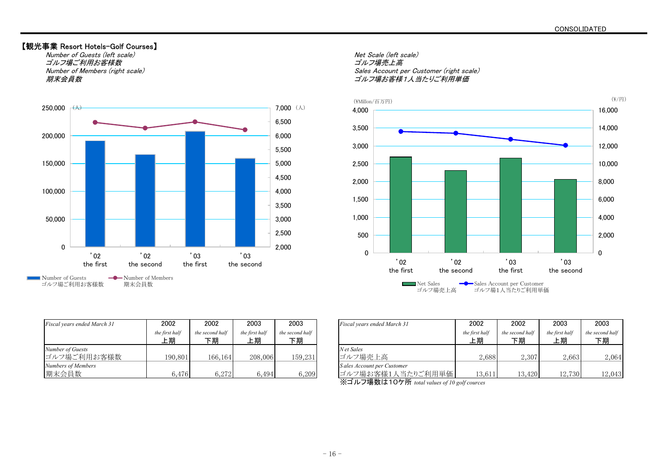#### 【観光事業 Resort Hotels-Golf Courses】

Number of Guests (left scale) Net Scale (left scale) ゴルフ場ご利用お客様数 期末会員数



Number of Members (right scale) Sales Account per Customer (right scale) コルフ場お客様1人当たりご利用単価



| Fiscal years ended March 31 | 2002                 | 2002                  | 2003                 | 2003                  | Fiscal years ended March 31 |
|-----------------------------|----------------------|-----------------------|----------------------|-----------------------|-----------------------------|
|                             | the first half<br>上期 | the second half<br>下期 | the first half<br>上期 | the second half<br>下期 |                             |
| Number of Guests            |                      |                       |                      |                       | N et Sales                  |
| ゴルフ場ご利用お客様数                 | 190,801              | 166,164               | 208,006              | 159,231               | ゴルフ場売上高                     |
| Numbers of Members          |                      |                       |                      |                       | Sales Account per Customer  |
| 期末会員数                       | 6,476                | 6,272                 | 6,494                | 6,209                 | ゴルフ場お客様1人当                  |

| Fiscal vears ended March 31     | 2002                 | 2002                  | 2003                 | 2003                  | Fiscal years ended March 31                     | 2002                 | 2002                  | 2003                 | 2003                  |
|---------------------------------|----------------------|-----------------------|----------------------|-----------------------|-------------------------------------------------|----------------------|-----------------------|----------------------|-----------------------|
|                                 | the first half<br>上期 | the second half<br>下期 | the first half<br>上期 | the second half<br>下期 |                                                 | the first half<br>上期 | the second half<br>下期 | the first half<br>上期 | the second half<br>下期 |
| Number of Guests<br>ゴルフ場ご利用お客様数 | 190,801              | 166,164               | 208,006              | 159,231               | N et Sales<br>ゴルフ場売上高                           | 2,688                | 2,307                 | 2,663                | 2,064                 |
| Numbers of Members<br>期末会員数     | 6,476                | 6,272                 | 6.494                | 6,209                 | Sales Account per Customer<br>ゴルフ場お客様1人当たりご利用単価 | 13.611               | 13,420                | 12,730               | 12,043                |

※ゴルフ場数は10ケ所 *total values of 10 golf cources*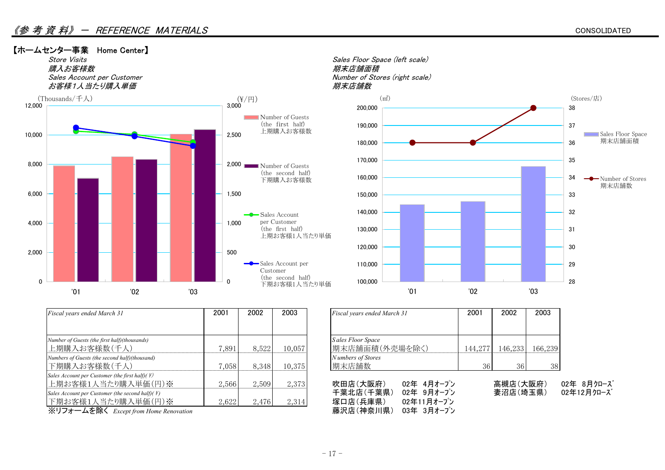

| <b>Fiscal years ended March 31</b>                         | 2001  | 2002  | 2003   | Fiscal years ended March 31 | 2001    | 2002     | 2003    |
|------------------------------------------------------------|-------|-------|--------|-----------------------------|---------|----------|---------|
|                                                            |       |       |        |                             |         |          |         |
| Number of Guests (the first half)(thousands)               |       |       |        | Sales Floor Space           |         |          |         |
| 上期購入お客様数(千人)                                               | 7,891 | 8,522 | 10,057 | 期末店舗面積(外売場を除く)              | 144,277 | 146,233  | 166,239 |
| Numbers of Guests (the second half)(thousand)              |       |       |        | Numbers of Stores           |         |          |         |
| 下期購入お客様数(千人)                                               | 7,058 | 8.348 | 10,375 | 期末店舗数                       | 36      | 36       | 38      |
| Sales Account per Customer (the first half) $(F)$          |       |       |        |                             |         |          |         |
| 上期お客様1人当たり購入単価(円)※                                         | 2,566 | 2,509 | 2,373  | 吹田店(大阪府)<br>02年 4月オープン      |         | 高槻店(大阪府) |         |
| Sales Account per Customer (the second half)( $\ddot{f}$ ) |       |       |        | 千葉北店(千葉県)<br>02年 9月オープン     |         | 妻沼店(埼玉県) |         |
| 下期お客様1人当たり購入単価(円)※                                         | 2,622 | 2,476 | 2,314  | 02年11月オープン<br>塚口店(兵庫県)      |         |          |         |
| ※リフォームを除く Except from Home Renovation                      |       |       |        | 藤沢店(神奈川県)<br>03年 3月オープン     |         |          |         |

| Fiscal years ended March 31         | 2001    | 2002    | 2003    |
|-------------------------------------|---------|---------|---------|
|                                     |         |         |         |
| Sales Floor Space<br>期末店舗面積(外売場を除く) | 144,277 | 146,233 | 166,239 |
| N umbers of Stores<br>期末店舗数         | 36      | 36      | 38      |

| 上期お客様1人当たり購入単価(円)※                                    | 2,566 | 2,509 | 2,373 | 吹田店(大阪府)  | 02年 4月オープン | 高槻店(大阪府) | 02年 8月クローズ |
|-------------------------------------------------------|-------|-------|-------|-----------|------------|----------|------------|
| Sales Account per Customer (the second half)( \times) |       |       |       | 千葉北店(千葉県) | 02年 9月オープン | 妻沼店(埼玉県) | 02年12月クローズ |
| 下期お客様1人当たり購入単価(円)※                                    | 2.622 | 2,476 | 2,314 | 塚口店(兵庫県)  | 02年11月オープン |          |            |
| ※リフォームを除く Except from Home Renovation                 |       |       |       | 藤沢店(神奈川県) | 03年 3月オープン |          |            |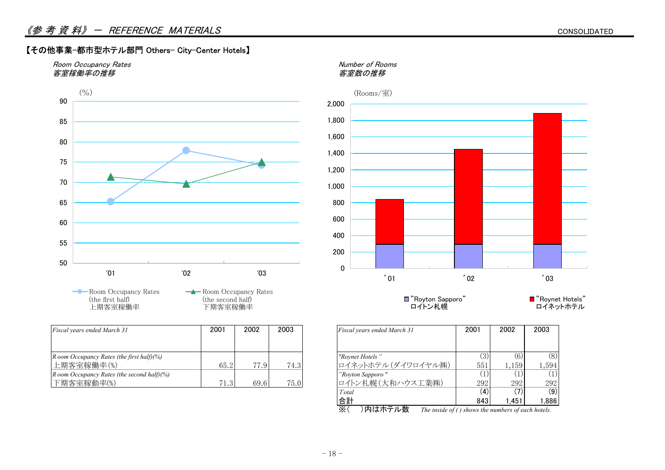#### 【その他事業-都市型ホテル部門 Others- City-Center Hotels】





**-**Room Occupancy Rates (the first half) 上期客室稼働率

**-A**-Room Occupancy Rates (the second half) 下期客室稼働率

| <b>Fiscal years ended March 31</b>             | 2001              | 2002       | 2003 | Fiscal years ended March 31 | 2001 | 2002  | 2003 |
|------------------------------------------------|-------------------|------------|------|-----------------------------|------|-------|------|
|                                                |                   |            |      |                             |      |       |      |
| R oom Occupancy Rates (the first half) $(%$ )  |                   |            |      | "Rovnet Hotels"             | 3)   | (6)   | (8)  |
| 上期客室稼働率(%)                                     | 65.2              | 77<br>-7.9 | 74.3 | ロイネットホテル(ダイワロイヤル㈱)          | 551  | 1,159 | .594 |
| R oom Occupancy Rates (the second half) $(%$ ) |                   |            |      | "Royton Sapporo"            |      |       |      |
| 下期客室稼動率(%)                                     | 71.3 <sub>1</sub> | 69.6       | 75.0 | ロイトン札幌(大和ハウス工業㈱)            | 292  | 292   | 292  |



"Royton Sapporo" ロイトン札幌

■ "Roynet Hotels" ロイネットホテル

| Fiscal years ended March 31                | 2001 | 2002        | 2003  |
|--------------------------------------------|------|-------------|-------|
|                                            |      |             |       |
| "Roynet Hotels"                            |      | $6^{\circ}$ | 8)    |
| ロイネットホテル(ダイワロイヤル(株)                        | 551  | 1,159       | 1.594 |
| "Royton Sapporo"                           |      |             |       |
| ロイトン札幌(大和ハウス工業㈱)                           | 292  | 292         | 292   |
| Total                                      | (4)  |             | (9)   |
| 合計                                         | 843  | 1.451       | 1.886 |
| 米斤<br>$\times$ (<br>TU : 1 C/\1 1 1 C 11 1 |      |             |       |

※( )内はホテル数 *The inside of ( ) shows the numbers of each hotels.*

 $-18-$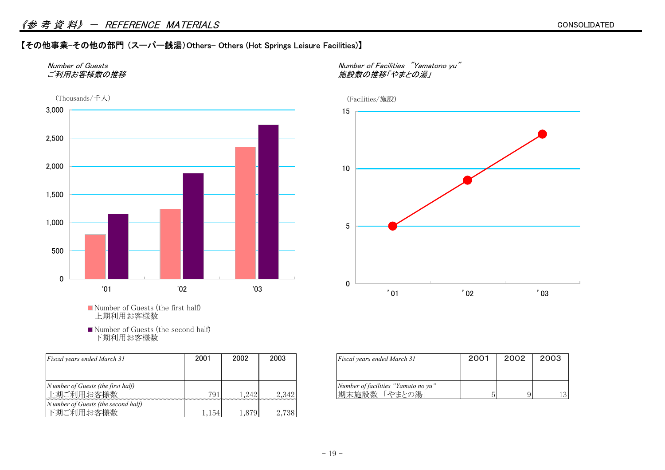#### 《参考資料》 - REFERENCE MATERIALS

#### 【その他事業-その他の部門 (スーパー銭湯)Others- Others (Hot Springs Leisure Facilities)】



Number of Guests (the first half) 上期利用お客様数

■ Number of Guests (the second half) 下期利用お客様数

| Fiscal years ended March 31                     | 2001 | 2002  | 2003  | Fiscal years ended March 31                          | 2001 | 2002 | 2003 |
|-------------------------------------------------|------|-------|-------|------------------------------------------------------|------|------|------|
|                                                 |      |       |       |                                                      |      |      |      |
| Number of Guests (the first half)<br>上期ご利用お客様数  | 791  | 242   | 2,342 | Number of facilities "Yamato no yu"<br> 期末施設数「やまとの湯」 |      |      | 13   |
| Number of Guests (the second half)<br>下期ご利用お客様数 | .154 | .,879 | 2,738 |                                                      |      |      |      |

かん、<br>およびの推移 「やまとの湯」



| Fiscal years ended March 31         | 2001 | 2002 | 2003 |  |
|-------------------------------------|------|------|------|--|
| Number of facilities "Yamato no yu" |      |      |      |  |
| 「やまとの湯」<br>期末施設数                    |      |      |      |  |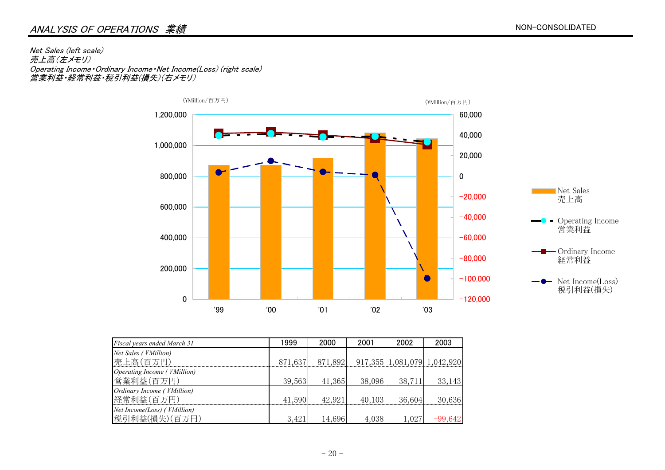#### ANALYSIS OF OPERATIONS 業績

Net Sales (left scale) 売上高(左メモリ) Operating Income・Ordinary Income・Net Income(Loss) (right scale) 営業利益・経常利益・税引利益(損失)(右メモリ)



| Fiscal years ended March 31             | 1999    | 2000    | 2001   | 2002   | 2003                        |
|-----------------------------------------|---------|---------|--------|--------|-----------------------------|
| Net Sales ( <i>¥Million</i> )           |         |         |        |        |                             |
| 売上高(百万円)                                | 871,637 | 871,892 |        |        | 917,355 1,081,079 1,042,920 |
| Operating Income ( <i>¥Million</i> )    |         |         |        |        |                             |
| 営業利益(百万円)                               | 39,563  | 41,365  | 38,096 | 38,711 | 33,143                      |
| Ordinary Income ( <i>¥Million</i> )     |         |         |        |        |                             |
| 経常利益(百万円)                               | 41,590  | 42,921  | 40,103 | 36,604 | 30,636                      |
| $Net Income (Loss)$ ( <i>¥Million</i> ) |         |         |        |        |                             |
| 税引利益(損失)(百万円)                           | 3,421   | 14,696  | 4,038  | 1,027  | $-99,642$                   |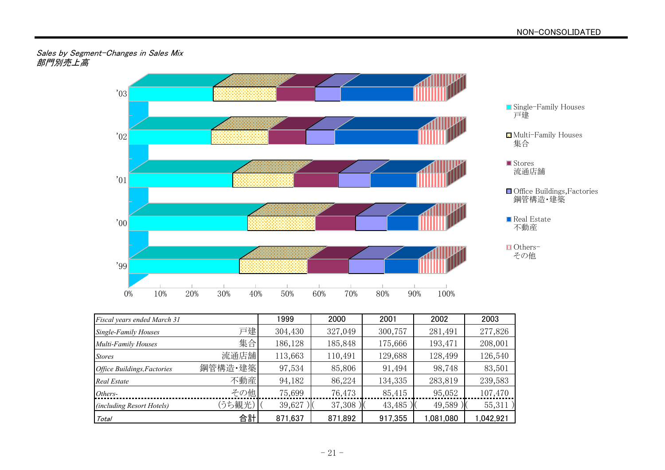#### Sales by Segment-Changes in Sales Mix 部門別売上高



| Fiscal years ended March 31 |         | 1999    | 2000    | 2001    | 2002      | 2003     |
|-----------------------------|---------|---------|---------|---------|-----------|----------|
| <b>Single-Family Houses</b> | 戸建      | 304,430 | 327,049 | 300,757 | 281,491   | 277,826  |
| Multi-Family Houses         | 集合      | 186,128 | 185,848 | 175,666 | 193,471   | 208,001  |
| <b>Stores</b>               | 流通店舗    | 113,663 | 110,491 | 129,688 | 128,499   | 126,540  |
| Office Buildings, Factories | 鋼管構造·建築 | 97,534  | 85,806  | 91,494  | 98,748    | 83,501   |
| <b>Real Estate</b>          | 不動産     | 94,182  | 86,224  | 134,335 | 283,819   | 239,583  |
| Others-                     | その他     | 75,699  | 76,473  | 85,415  | 95,052    | 107,470  |
| (including Resort Hotels)   | (うち観光)  | 39,627  | 37,308) | 43,485  | 49,589    | 55,311)  |
| Total                       | 合計      | 871,637 | 871,892 | 917,355 | 1,081,080 | .042.921 |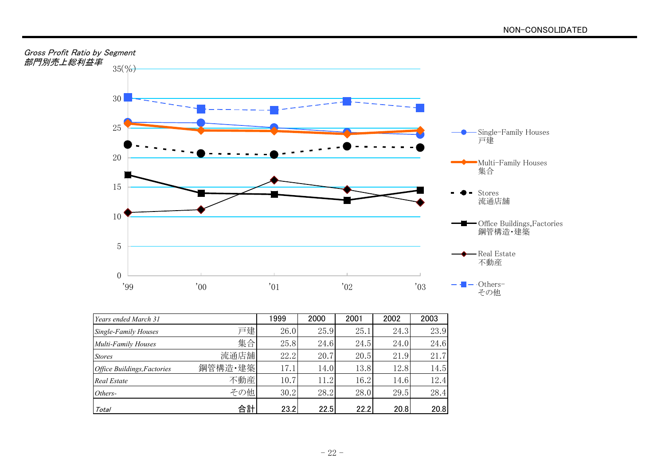



| Years ended March 31               |         | 1999 | 2000 | 2001 | 2002 | 2003 |
|------------------------------------|---------|------|------|------|------|------|
| <b>Single-Family Houses</b>        | 戸建      | 26.0 | 25.9 | 25.1 | 24.3 | 23.9 |
| Multi-Family Houses                | 集合      | 25.8 | 24.6 | 24.5 | 24.0 | 24.6 |
| <b>Stores</b>                      | 流通店舖    | 22.2 | 20.7 | 20.5 | 21.9 | 21.7 |
| <b>Office Buildings, Factories</b> | 鋼管構造·建築 | 17.1 | 14.0 | 13.8 | 12.8 | 14.5 |
| <b>Real Estate</b>                 | 不動産     | 10.7 | 11.2 | 16.2 | 14.6 | 12.4 |
| Others-                            | その他     | 30.2 | 28.2 | 28.0 | 29.5 | 28.4 |
| Total                              | 合計      | 23.2 | 22.5 | 22.2 | 20.8 | 20.8 |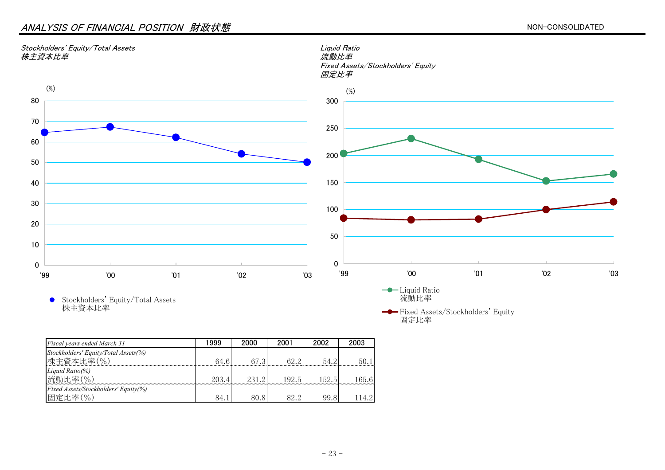#### ANALYSIS OF FINANCIAL POSITION 財政状態



株主資本比率

*Fiscal years ended March 31* 1999 2000 2001 2002 2003 *Stockholders' Equity/Total Assets(%)* 株主資本比率(%) 64.6 67.3 62.2 54.2 50.1 *Liquid Ratio(%)* 流動比率(%) 203.4 231.2 192.5 152.5 165.6 *Fixed Assets/Stockholders' Equity(%)* |固定比率(%) | 84.1 80.8 82.2 99.8 114.2

- 23 -

Fixed Assets/Stockholders' Equity

固定比率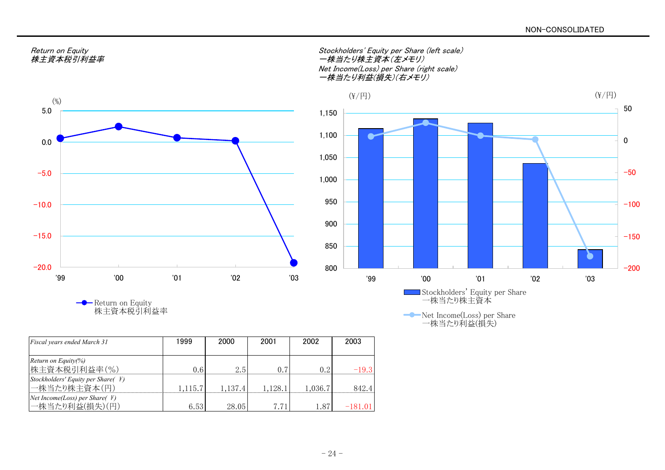

Return on Equity 株主資本税引利益率

| Fiscal years ended March 31                                   | 999     | 2000    | 2001    | 2002    | 2003      |
|---------------------------------------------------------------|---------|---------|---------|---------|-----------|
| Return on Equity(%)                                           |         |         |         |         |           |
| 株主資本税引利益率(%)                                                  | 0.6     | 2.5     |         | 02      | $-19.3$   |
| Stockholders' Equity per Share( $\#$ )                        |         |         |         |         |           |
| 一株当たり株主資本(円)                                                  | 1.115.7 | 1.137.4 | 1.128.1 | 1.036.7 | 842.4     |
| <i>Net Income(Loss)</i> per <i>Share</i> ( $\angle$ <i>¥)</i> |         |         |         |         |           |
| 一株当たり利益(損失)(円)                                                | 6.53    | 28.05   | 7.71    | 1.87    | $-181.01$ |

Return on Equity<br>株主資本税引利益率 Stockholders' Equity per Share (left scale) 一株当たり株主資本(左メモリ) Net Income(Loss) per Share (right scale) 一株当たり利益(損失)(右メモリ)



Net Income(Loss) per Share 一株当たり利益(損失)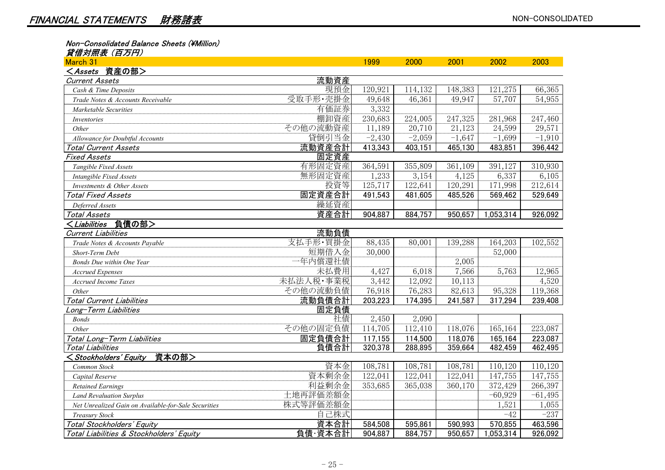Non-Consolidated Balance Sheets (¥Million)

| 貸借対照表(百万円)                                                                                                      |           |          |          |          |           |          |
|-----------------------------------------------------------------------------------------------------------------|-----------|----------|----------|----------|-----------|----------|
| March 31                                                                                                        |           | 1999     | 2000     | 2001     | 2002      | 2003     |
| <assets 資産の部=""></assets>                                                                                       |           |          |          |          |           |          |
| <b>Current Assets</b>                                                                                           | 流動資産      |          |          |          |           |          |
| Cash & Time Deposits                                                                                            | 現預金       | 120,921  | 114,132  | 148,383  | 121,275   | 66,365   |
| Trade Notes & Accounts Receivable                                                                               | 受取手形· 売掛金 | 49,648   | 46,361   | 49,947   | 57,707    | 54,955   |
| Marketable Securities                                                                                           | 有価証券      | 3,332    |          |          |           |          |
| Inventories                                                                                                     | 棚卸資産      | 230,683  | 224,005  | 247,325  | 281,968   | 247,460  |
| Other                                                                                                           | その他の流動資産  | 11,189   | 20,710   | 21,123   | 24,599    | 29,571   |
| Allowance for Doubtful Accounts                                                                                 | 貸倒引当金     | $-2,430$ | $-2,059$ | $-1,647$ | $-1,699$  | $-1,910$ |
| <b>Total Current Assets</b>                                                                                     | 流動資産合計    | 413,343  | 403,151  | 465,130  | 483,851   | 396,442  |
| Fixed Assets                                                                                                    | 固定資産      |          |          |          |           |          |
| Tangible Fixed Assets                                                                                           | 有形固定資産    | 364,591  | 355,809  | 361,109  | 391,127   | 310,930  |
| Intangible Fixed Assets                                                                                         | 無形固定資産    | 1,233    | 3,154    | 4,125    | 6,337     | 6,105    |
| Investments & Other Assets                                                                                      | 投資等       | 125,717  | 122,641  | 120,291  | 171,998   | 212,614  |
| Total Fixed Assets                                                                                              | 固定資産合計    | 491,543  | 481,605  | 485,526  | 569,462   | 529,649  |
| Deferred Assets                                                                                                 | 繰延資産      |          |          |          |           |          |
| Total Assets                                                                                                    | 資産合計      | 904,887  | 884,757  | 950,657  | 1,053,314 | 926,092  |
| <liabilities 負債の部=""></liabilities>                                                                             |           |          |          |          |           |          |
| <b>Current Liabilities</b>                                                                                      | 流動負債      |          |          |          |           |          |
| Trade Notes & Accounts Payable                                                                                  | 支払手形·買掛金  | 88,435   | 80,001   | 139,288  | 164,203   | 102,552  |
| Short-Term Debt                                                                                                 | 短期借入金     | 30,000   |          |          | 52,000    |          |
| <b>Bonds Due within One Year</b>                                                                                | 一年内償還社債   |          |          | 2,005    |           |          |
| <b>Accrued Expenses</b>                                                                                         | 未払費用      | 4,427    | 6,018    | 7,566    | 5,763     | 12,965   |
| <b>Accrued Income Taxes</b>                                                                                     | 未払法人税·事業税 | 3,442    | 12,092   | 10,113   |           | 4,520    |
| Other                                                                                                           | その他の流動負債  | 76,918   | 76,283   | 82,613   | 95,328    | 119,368  |
| Total Current Liabilities                                                                                       | 流動負債合計    | 203,223  | 174,395  | 241,587  | 317,294   | 239,408  |
| Long-Term Liabilities                                                                                           | 固定負債      |          |          |          |           |          |
| <b>Bonds</b>                                                                                                    | 社債        | 2,450    | 2,090    |          |           |          |
| Other                                                                                                           | その他の固定負債  | 114,705  | 112,410  | 118,076  | 165,164   | 223,087  |
| Total Long-Term Liabilities                                                                                     | 固定負債合計    | 117,155  | 114,500  | 118,076  | 165,164   | 223,087  |
| Total Liabilities                                                                                               | 負債合計      | 320,378  | 288,895  | 359,664  | 482,459   | 462,495  |
| 資本の部><br><stockholders' equity<="" td=""><td></td><td></td><td></td><td></td><td></td><td></td></stockholders'> |           |          |          |          |           |          |
|                                                                                                                 | ネーマ       | 100.701  | 100.701  | 100.701  | 33030     | 11010    |

| Common Stock                                         | 資本金      | 108,781 | 108,781 | 108,781 | 10.120    | 10,120      |
|------------------------------------------------------|----------|---------|---------|---------|-----------|-------------|
| Capital Reserve                                      | 資本剰余金    | 122,041 | 122,041 | 122,04  | 147,755   | 147,755     |
| <b>Retained Earnings</b>                             | 利益剰余金    | 353.685 | 365.038 | 360,170 | 372,429   | 266,397     |
| <b>Land Revaluation Surplus</b>                      | 土地再評価差額金 |         |         |         | $-60.929$ | -61<br>,495 |
| Net Unrealized Gain on Available-for-Sale Securities | 株式等評価差額金 |         |         |         | 1,521     | ,055        |
| Treasury Stock                                       | 己株式      |         |         |         | $-42$     | $-237$      |
| Total Stockholders' Equity                           | 資本合計     | 584,508 | 595.861 | 590,993 | 570.855   | 463,596     |
| Total Liabilities & Stockholders' Equity             | 負債·資本合計  | 904,887 | 884.757 | 950.657 | .053,314  | 926,092     |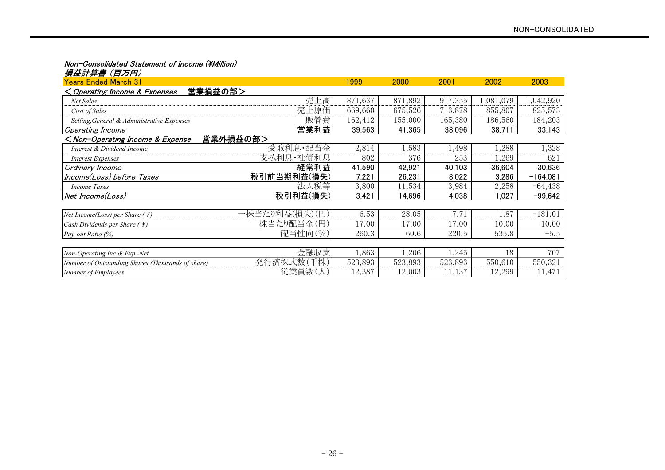#### Non-Consolidated Statement of Income (¥Million)

| 損益計算書(百万円)                                                                   |                |         |         |         |           |            |  |  |  |  |
|------------------------------------------------------------------------------|----------------|---------|---------|---------|-----------|------------|--|--|--|--|
| <u> Years Ended March 31</u>                                                 |                | 1999    | 2000    | 2001    | 2002      | 2003       |  |  |  |  |
| 営業損益の部><br>< Operating Income & Expenses                                     |                |         |         |         |           |            |  |  |  |  |
| Net Sales                                                                    | 売上高            | 871,637 | 871,892 | 917,355 | 1,081,079 | 1,042,920  |  |  |  |  |
| Cost of Sales                                                                | 売上原価           | 669,660 | 675,526 | 713,878 | 855,807   | 825,573    |  |  |  |  |
| Selling, General & Administrative Expenses                                   | 販管費            | 162,412 | 155,000 | 165,380 | 186,560   | 184,203    |  |  |  |  |
| Operating Income                                                             | 営業利益           | 39,563  | 41,365  | 38,096  | 38,711    | 33,143     |  |  |  |  |
| 営業外損益の部><br><non-operating &="" expense<="" income="" td=""></non-operating> |                |         |         |         |           |            |  |  |  |  |
| Interest & Dividend Income                                                   | 受取利息·配当金       | 2,814   | 1,583   | 1,498   | 1,288     | 1,328      |  |  |  |  |
| <b>Interest Expenses</b>                                                     | 支払利息·社債利息      | 802     | 376     | 253     | 1,269     | 621        |  |  |  |  |
| Ordinary Income                                                              | 経常利益           | 41,590  | 42,921  | 40,103  | 36,604    | 30,636     |  |  |  |  |
| Income(Loss) before Taxes                                                    | 税引前当期利益(損失)    | 7,221   | 26,231  | 8,022   | 3,286     | $-164,081$ |  |  |  |  |
| <b>Income Taxes</b>                                                          | 法人税等           | 3,800   | 11,534  | 3,984   | 2,258     | $-64,438$  |  |  |  |  |
| Net Income(Loss)                                                             | 税引利益(損失)       | 3,421   | 14,696  | 4,038   | ,027      | $-99,642$  |  |  |  |  |
|                                                                              |                |         |         |         |           |            |  |  |  |  |
| Net Income(Loss) per Share (\\in 2)                                          | 一株当たり利益(損失)(円) | 6.53    | 28.05   | 7.71    | 1.87      | $-181.01$  |  |  |  |  |
| Cash Dividends per Share ( ¥)                                                | 一株当たり配当金(円)    | 17.00   | 17.00   | 17.00   | 10.00     | 10.00      |  |  |  |  |
| Pay-out Ratio (%)                                                            | 配当性向(%)        | 260.3   | 60.6    | 220.5   | 535.8     | $-5.5$     |  |  |  |  |
|                                                                              |                |         |         |         |           |            |  |  |  |  |
| Non-Operating Inc. & Exp.-Net                                                | 金融収支           | 1,863   | 1,206   | 1,245   | 18        | 707        |  |  |  |  |
| Number of Outstanding Shares (Thousands of share)                            | 発行済株式数(千株)     | 523,893 | 523,893 | 523,893 | 550,610   | 550,321    |  |  |  |  |
| <b>Number of Employees</b>                                                   | 従業員数(人)        | 12,387  | 12,003  | 11,137  | 12,299    | 11,471     |  |  |  |  |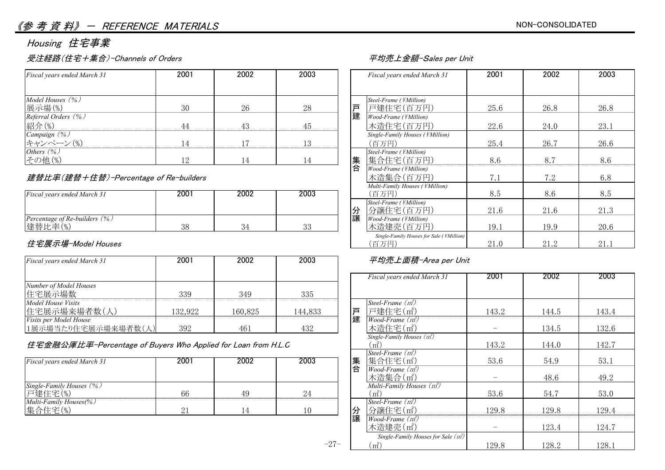#### 《参考資料》 - REFERENCE MATERIALS

### Housing 住宅事業

#### 受注経路(住宅+集合)-Channels of Orders インプレント マングランド エコンクランド 平均売上金額-Sales per Unit

| Fiscal years ended March 31                                                                                       | 2001 | 2002 | 2003           | Fiscal years ended March 31     | 2001 | 2002 | 2003 |
|-------------------------------------------------------------------------------------------------------------------|------|------|----------------|---------------------------------|------|------|------|
|                                                                                                                   |      |      |                |                                 |      |      |      |
| Model Houses $(\%)$                                                                                               |      |      |                | Steel-Frame ( <i>¥Million</i> ) |      |      |      |
| 展示場(%)                                                                                                            | 30   | 26   | 28             | 戸<br>戸建住宅(百万円)                  | 25.6 | 26.8 | 26.8 |
| Referral Orders (%)                                                                                               |      |      |                | 建<br>Wood-Frame (¥Million)      |      |      |      |
| 紹介(%)                                                                                                             |      |      | 4 <sub>2</sub> | 木造住宅(百万円)                       | 22.6 | 24.0 | 23.1 |
|                                                                                                                   |      |      |                | Single-Family Houses (¥Million) |      |      |      |
| $\begin{array}{l} \textit{Campalign } (\% \\ \textit{++}\ \textit{--}\ \vee\ \textit{--}\ \vee\ (\%) \end{array}$ | 14   |      | 1 ?            | (百万円)                           | 25.4 | 26.7 | 26.6 |
| Others $(\%)$                                                                                                     |      |      |                | Steel-Frame (¥Million)          |      |      |      |
| その他(%)                                                                                                            |      |      |                | 集合住宅(百万円)<br>集                  | 8.6  | 8.7  | 8.6  |

#### 建替比率(建替+住替)-Percentage of Re-builders

|                                             |      |      |          | $\ldots$                               |                         |                  |      |
|---------------------------------------------|------|------|----------|----------------------------------------|-------------------------|------------------|------|
| Fiscal years ended March 31                 | 2001 | 2002 | 2003     | (百万円                                   | ⊙.⊍                     | ⊃•⊂              | Ծ.მ  |
|                                             |      |      |          | Steel-Frame (¥Million)<br>分譲住宅(百万円)    | 01 <sup>6</sup><br>41.U | $\cap$ 1<br>41.U | 41.U |
| Percentage of Re-builders $(\%)$<br>建替比率(%) | 38   |      | ററ<br>ບບ | 讓<br>Wood-Frame (¥Million)<br>:浩建帯(百万円 | 19.1                    | 19.9             | 20.6 |
|                                             |      |      |          |                                        |                         |                  |      |

#### 住宅展示場-Model Houses

| Fiscal years ended March 31   | 2001    | 2002    | 2003    | 平均売上面積-Area per Unit           |       |       |       |
|-------------------------------|---------|---------|---------|--------------------------------|-------|-------|-------|
|                               |         |         |         | Fiscal years ended March 31    | 2001  | 2002  | 2003  |
| Number of Model Houses        |         |         |         |                                |       |       |       |
| 住宅展示場数                        | 339     | 349     | 335     |                                |       |       |       |
| Model House Visits            |         |         |         | Steel-Frame $(m^2)$            |       |       |       |
| 住宅展示場来場者数(人)                  | 132.922 | 160.825 | 144,833 | 戸建住字(m <sup>2</sup> ) <br>戸    | 143.2 | 144.5 | 43.4  |
| <i>Visits per Model House</i> |         |         |         | 建<br><i>Wood-Frame</i> $(m^2)$ |       |       |       |
| 1展示場当たり住宅展示場来場者数(人)           | 392     | 461     | 432     | 木造住宅(m2)                       |       | 134.5 | 132.6 |

#### 住宅金融公庫比率-Percentage of Buyers Who Applied for Loan from H.L.C

| Fiscal years ended March 31 | 2001       | 2002 | 2003 | 集 | 集合住宅(m2)                              | 53.6  | 54.9  | 53.1 |
|-----------------------------|------------|------|------|---|---------------------------------------|-------|-------|------|
|                             |            |      |      | 合 | $Wood-Frame (m2)$                     |       |       |      |
|                             |            |      |      |   | 木造集合(m2)                              |       | 48.6  | 49.2 |
| Single-Family Houses (%)    |            |      |      |   | Multi-Family Houses (m <sup>2</sup> ) |       |       |      |
| 戸建住宅(%)                     | 66         | 49   | 24   |   | m                                     | 53.6  | 54.7  | 53.0 |
| Multi-Family Houses(%)      |            |      |      |   | Steel-Frame $(m^2)$                   |       |       |      |
| 集合住宅(%)                     | <u>_ i</u> |      | 10   | 分 | 分譲住宅(m2)                              | 129.8 | 129.8 | 129. |

| Fiscal years ended March 31              | 2001 | 2002 | 2003 | Fiscal years ended March 31                                        | 2001 | 2002 | 2003 |
|------------------------------------------|------|------|------|--------------------------------------------------------------------|------|------|------|
| Model Houses (%)<br>展示場(%)               | 30   | 26   | 28   | Steel-Frame (¥Million)<br>戸<br>戸建住宅(百万円)                           | 25.6 | 26.8 | 26.8 |
| Referral Orders (%)<br>紹介(%)             | 44   | 43   | 45   | 建<br>Wood-Frame (¥Million)<br>木造住宅(百万円)                            | 22.6 | 24.0 | 23.1 |
| Campaign (%)<br>キャンペーン(%)                | 14   | 17   | 13   | Single-Family Houses (¥Million)<br>(百万円)                           | 25.4 | 26.7 | 26.6 |
| Others (%)<br>その他(%)                     | 12   | 14   | 14   | Steel-Frame (¥Million)<br>集合<br>集合住宅(百万円)<br>Wood-Frame (¥Million) | 8.6  | 8.7  | 8.6  |
| 建替比率(建替+住替)-Percentage of Re-builders    |      |      |      | 木造集合(百万円)<br>Multi-Family Houses (¥Million)                        | 7.1  | 7.2  | 6.8  |
| Fiscal years ended March 31              | 2001 | 2002 | 2003 | (百万円)                                                              | 8.5  | 8.6  | 8.5  |
|                                          |      |      |      | Steel-Frame (¥Million)<br>分譲<br>分譲住宅(百万円)                          | 21.6 | 21.6 | 21.3 |
| Percentage of Re-builders (%)<br>建替比率(%) | 38   | 34   | 33   | Wood-Frame (¥Million)<br>木造建売(百万円)                                 | 19.1 | 19.9 | 20.6 |
| 住宅展示場-Model Houses                       |      |      |      | Single-Family Houses for Sale (¥Million)<br>(百万円)                  | 21.0 | 21.2 | 21.1 |

#### 平均売上面積-Area per Unit

|                                                               |         |         |         |    | Fiscal years ended March 31           | 2001                         | 2002  | 2003  |
|---------------------------------------------------------------|---------|---------|---------|----|---------------------------------------|------------------------------|-------|-------|
| Number of Model Houses                                        |         |         |         |    |                                       |                              |       |       |
| 住宅展示場数                                                        | 339     | 349     | 335     |    |                                       |                              |       |       |
| Model House Visits                                            |         |         |         |    | Steel-Frame $(m^2)$                   |                              |       |       |
| 住宅展示場来場者数(人)                                                  | 132,922 | 160,825 | 144,833 | 戸建 | 戸建住宅(m2)                              | 143.2                        | 144.5 | 143.4 |
| Visits per Model House                                        |         |         |         |    | <i>Wood-Frame</i> $(m^2)$             |                              |       |       |
| 1展示場当たり住宅展示場来場者数(人                                            | 392     | 461     | 432     |    | 木造住宅(m2)                              | $\overline{\phantom{0}}$     | 134.5 | 132.6 |
|                                                               |         |         |         |    | Single-Family Houses $(m^2)$          |                              |       |       |
| 住宅金融公庫比率-Percentage of Buyers Who Applied for Loan from H.L.C |         |         |         |    | $(m^2)$                               | 143.2                        | 144.0 | 142.7 |
|                                                               |         |         |         |    | Steel-Frame $(m^2)$                   |                              |       |       |
| Fiscal years ended March 31                                   | 2001    | 2002    | 2003    | 集  | 集合住宅(m2)                              | 53.6                         | 54.9  | 53.1  |
|                                                               |         |         |         | 合  | $Wood-Frame(m^2)$                     |                              |       |       |
|                                                               |         |         |         |    | 木造集合(m2)                              | $\overline{\phantom{0}}$     | 48.6  | 49.2  |
| Single-Family Houses (%)                                      |         |         |         |    | Multi-Family Houses $(m^2)$           |                              |       |       |
| 戸建住宅(%)                                                       | 66      | 49      | 24      |    | $\rm (m^2)$                           | 53.6                         | 54.7  | 53.0  |
| Multi-Family Houses(%)                                        |         |         |         |    | Steel-Frame $(m^2)$                   |                              |       |       |
| 集合住宅(%)                                                       | 21      | 14      | 10      | 分譲 | 分譲住宅(m2)                              | 129.8                        | 129.8 | 129.4 |
|                                                               |         |         |         |    | <i>Wood-Frame</i> $(m^2)$             |                              |       |       |
|                                                               |         |         |         |    | 木造建売(m2)                              | $\qquad \qquad \blacksquare$ | 123.4 | 124.7 |
|                                                               |         |         |         |    | Single-Family Houses for Sale $(m^2)$ |                              |       |       |
|                                                               |         |         | $-27-$  |    | $\rm (m^2)$                           | 129.8                        | 128.2 | 128.1 |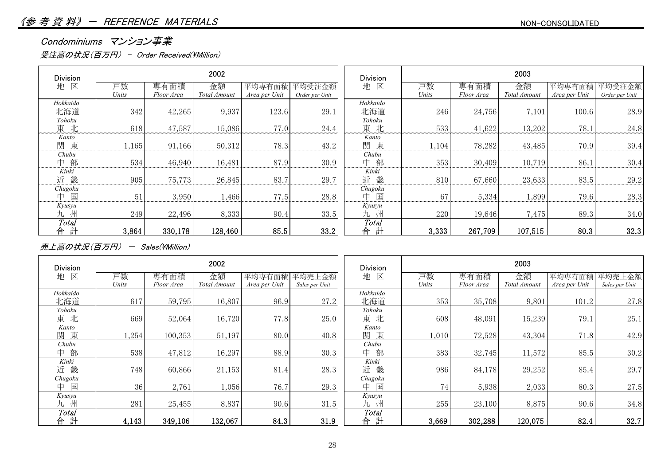#### Condominiums マンション事業

受注高の状況(百万円) - Order Received(¥Million)

| Division | 2002  |            | <b>Division</b> | 2003          |                |          |       |            |              |               |                |
|----------|-------|------------|-----------------|---------------|----------------|----------|-------|------------|--------------|---------------|----------------|
| 区<br>地   | 戸数    | 専有面積       | 金額              | 平均専有面積        | 平均受注金額         | 地<br>区   | 戸数    | 専有面積       | 金額           | 平均専有面積        | 平均受注金額         |
|          | Units | Floor Area | Total Amount    | Area per Unit | Order per Unit |          | Units | Floor Area | Total Amount | Area per Unit | Order per Unit |
| Hokkaido |       |            |                 |               |                | Hokkaido |       |            |              |               |                |
| 北海道      | 342   | 42,265     | 9,937           | 123.6         | 29.1           | 北海道      | 246   | 24,756     | 7,101        | 100.6         | 28.9           |
| Tohoku   |       |            |                 |               |                | Tohoku   |       |            |              |               |                |
| 東北       | 618   | 47,587     | 15,086          | 77.0          | 24.4           | 東北       | 533   | 41,622     | 13,202       | 78.1          | 24.8           |
| Kanto    |       |            |                 |               |                | Kanto    |       |            |              |               |                |
| 東<br>関   | 1,165 | 91,166     | 50,312          | 78.3          | 43.2           | 東<br>関   | 1,104 | 78,282     | 43,485       | 70.9          | 39.4           |
| Chubu    |       |            |                 |               |                | Chubu    |       |            |              |               |                |
| 部<br>中   | 534   | 46,940     | 16,481          | 87.9          | 30.9           | 部<br>中   | 353   | 30,409     | 10,719       | 86.1          | 30.4           |
| Kinki    |       |            |                 |               |                | Kinki    |       |            |              |               |                |
| 畿<br>近   | 905   | 75,773     | 26,845          | 83.7          | 29.7           | 畿<br>近   | 810   | 67,660     | 23,633       | 83.5          | 29.2           |
| Chugoku  |       |            |                 |               |                | Chugoku  |       |            |              |               |                |
| 国<br>中   | 51    | 3,950      | 1,466           | 77.5          | 28.8           | 国<br>中   | 67    | 5,334      | 1,899        | 79.6          | 28.3           |
| Kyusyu   |       |            |                 |               |                | Kyusyu   |       |            |              |               |                |
| 九州       | 249   | 22,496     | 8,333           | 90.4          | 33.5           | 九 州      | 220   | 19,646     | 7,475        | 89.3          | 34.0           |
| Total    |       |            |                 |               |                | Total    |       |            |              |               |                |
| 計<br>合   | 3,864 | 330,178    | 128,460         | 85.5          | 33.2           | 計<br>合   | 3,333 | 267,709    | 107,515      | 80.3          | 32.3           |

売上高の状況(百万円) - Sales(\Million)

| Division |             |                    | 2002               |                         |                          | <b>Division</b> |             |                    | 2003               |                         |                          |
|----------|-------------|--------------------|--------------------|-------------------------|--------------------------|-----------------|-------------|--------------------|--------------------|-------------------------|--------------------------|
| 地 区      | 戸数<br>Units | 専有面積<br>Floor Area | 金額<br>Total Amount | 平均専有面積<br>Area per Unit | 平均売上金額<br>Sales per Unit | 地<br>区          | 戸数<br>Units | 専有面積<br>Floor Area | 金額<br>Total Amount | 平均専有面積<br>Area per Unit | 平均売上金額<br>Sales per Unit |
| Hokkaido |             |                    |                    |                         |                          | Hokkaido        |             |                    |                    |                         |                          |
| 北海道      | 617         | 59,795             | 16,807             | 96.9                    | 27.2                     | 北海道             | 353         | 35,708             | 9,801              | 101.2                   | 27.8                     |
| Tohoku   |             |                    |                    |                         |                          | Tohoku          |             |                    |                    |                         |                          |
| 東北       | 669         | 52,064             | 16,720             | 77.8                    | 25.0                     | 東 北             | 608         | 48,091             | 15,239             | 79.1                    | 25.1                     |
| Kanto    |             |                    |                    |                         |                          | Kanto           |             |                    |                    |                         |                          |
| 関東       | ,254        | 100,353            | 51,197             | 80.0                    | 40.8                     | 関東              | 1,010       | 72,528             | 43,304             | 71.8                    | 42.9                     |
| Chubu    |             |                    |                    |                         |                          | Chubu           |             |                    |                    |                         |                          |
| 中部       | 538         | 47,812             | 16,297             | 88.9                    | 30.3                     | 部<br>中          | 383         | 32,745             | 11,572             | 85.5                    | 30.2                     |
| Kinki    |             |                    |                    |                         |                          | Kinki           |             |                    |                    |                         |                          |
| 近畿       | 748         | 60,866             | 21,153             | 81.4                    | 28.3                     | 近畿              | 986         | 84,178             | 29,252             | 85.4                    | 29.7                     |
| Chugoku  |             |                    |                    |                         |                          | Chugoku         |             |                    |                    |                         |                          |
| 中国       | 36          | 2,761              | 1,056              | 76.7                    | 29.3                     | 中 国             | 74          | 5,938              | 2,033              | 80.3                    | 27.5                     |
| Kyusyu   |             |                    |                    |                         |                          | Kyusyu          |             |                    |                    |                         |                          |
| 九 州      | 281         | 25,455             | 8,837              | 90.6                    | 31.5                     | 九 州             | 255         | 23,100             | 8,875              | 90.6                    | 34.8                     |
| Total    |             |                    |                    |                         |                          | Total           |             |                    |                    |                         |                          |
| 計<br>合   | 4,143       | 349,106            | 132,067            | 84.3                    | 31.9                     | 計<br>合          | 3,669       | 302,288            | 120,075            | 82.4                    | 32.7                     |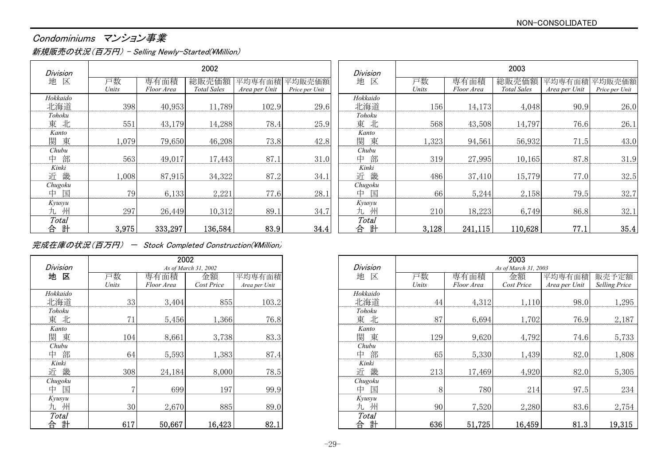#### NON-CONSOLIDATED

## Condominiums マンション事業

新規販売の状況(百万円) - Selling Newly-Started(¥Million)

| <b>Division</b>  |             |                    | 2002                        |                         |                                      | <b>Division</b>   |             |                    | 2003                      |                         |                         |
|------------------|-------------|--------------------|-----------------------------|-------------------------|--------------------------------------|-------------------|-------------|--------------------|---------------------------|-------------------------|-------------------------|
| 地 区              | 戸数<br>Units | 専有面積<br>Floor Area | 総販売価額<br><b>Total Sales</b> | 平均専有面積<br>Area per Unit | <sup>:</sup> 均販売価額<br>Price per Unit | 区<br>地            | 戸数<br>Units | 専有面積<br>Floor Area | 総販売<br><b>Total Sales</b> | エ均専有面積<br>Area per Unit | 均販売価額<br>Price per Unit |
| Hokkaido<br>北海道  | 398         | 40,953             | 11,789                      | 102.9                   | 29.6                                 | Hokkaido<br>北海道   | 156         | 14,173             | 4,048                     | 90.9                    | 26.0                    |
| Tohoku<br>東北     | 551         | 43,179             | 14,288                      | 78.4                    | 25.9                                 | Tohoku<br>東北      | 568         | 43,508             | 14,797                    | 76.6                    | 26.1                    |
| Kanto<br>東<br>関  | 1,079       | 79,650             | 46,208                      | 73.8                    | 42.8                                 | Kanto<br>関<br>東   | 1,323       | 94,561             | 56,932                    | 71.5                    | 43.0                    |
| Chubu<br>部<br>中  | 563         | 49,017             | 17,443                      | 87.1                    | 31.0                                 | Chubu<br>部<br>中   | 319         | 27,995             | 10,165                    | 87.8                    | 31.9                    |
| Kinki<br>畿<br>近  | 1,008       | 87,915             | 34,322                      | 87.2                    | 34.1                                 | Kinki<br>畿<br>近   | 486         | 37,410             | 15,779                    | 77.0                    | 32.5                    |
| Chugoku<br>中 国   | 79          | 6,133              | 2,221                       | 77.6                    | 28.1                                 | Chugoku<br>国<br>中 | 66          | 5,244              | 2,158                     | 79.5                    | 32.7                    |
| Kyusyu<br>州<br>九 | 297         | 26,449             | 10,312                      | 89.1                    | 34.7                                 | Kyusyu<br>九州      | 210         | 18,223             | 6,749                     | 86.8                    | 32.1                    |
| Total<br>計<br>合  | 3,975       | 333,297            | 136,584                     | 83.9                    | 34.4                                 | Total<br>計<br>合   | 3,128       | 241,115            | 110,628                   | 77.1                    | 35.4                    |

完成在庫の状況(百万円) - Stock Completed Construction(\Million)

|          |       | 2002       |                      |               |          |
|----------|-------|------------|----------------------|---------------|----------|
| Division |       |            | As of March 31, 2002 |               | Division |
| 地 区      | 戸数    | 専有面積       | 金額                   | 平均専有面積        | 地 区      |
|          | Units | Floor Area | Cost Price           | Area per Unit |          |
| Hokkaido |       |            |                      |               | Hokkaido |
| 北海道      | 33    | 3,404      | 855                  | 103.2         | 北海道      |
| Tohoku   |       |            |                      |               | Tohoku   |
| 東 北      | 71    | 5,456      | 1,366                | 76.8          | 東 北      |
| Kanto    |       |            |                      |               | Kanto    |
| 関 東      | 104   | 8,661      | 3,738                | 83.3          | 関<br>東   |
| Chubu    |       |            |                      |               | Chubu    |
| 部<br>中   | 64    | 5,593      | 1,383                | 87.4          | 中<br>部   |
| Kinki    |       |            |                      |               | Kinki    |
| 近<br>畿   | 308   | 24,184     | 8,000                | 78.5          | 近畿       |
| Chugoku  |       |            |                      |               | Chugoku  |
| 中<br>匡   | 7     | 699        | 197                  | 99.9          | 中<br>匡   |
| Kyusyu   |       |            |                      |               | Kyusyu   |
| 州<br>九   | 30    | 2,670      | 885                  | 89.0          | 州<br>九   |
| Total    |       |            |                      |               | Total    |
| 計<br>旨   | 617   | 50,667     | 16,423               | 82.1          | 計<br>合   |

|                 | 2002  |            |                      | 2003          |                 |       |            |                      |               |                      |
|-----------------|-------|------------|----------------------|---------------|-----------------|-------|------------|----------------------|---------------|----------------------|
| Division        |       |            | As of March 31, 2002 |               | <b>Division</b> |       |            | As of March 31, 2003 |               |                      |
| 地 区             | 戸数    | 専有面積       | 金額                   | 平均専有面積        | 地<br>区          | 戸数    | 専有面積       | 金額                   | 平均専有面積        | 販売予定額                |
|                 | Units | Floor Area | Cost Price           | Area per Unit |                 | Units | Floor Area | Cost Price           | Area per Unit | <b>Selling Price</b> |
| <b>Iokkaido</b> |       |            |                      |               | Hokkaido        |       |            |                      |               |                      |
| 北海道             | 33    | 3,404      | 855                  | 103.2         | 北海道             | 44    | 4,312      | 1,110                | 98.0          | 1,295                |
| Tohoku          |       |            |                      |               | Tohoku          |       |            |                      |               |                      |
| 東北              | 71    | 5,456      | 1,366                | 76.8          | 東北              | 87    | 6,694      | 1,702                | 76.9          | 2,187                |
| Kanto           |       |            |                      |               | Kanto           |       |            |                      |               |                      |
| 関東              | 104   | 8,661      | 3,738                | 83.3          | 関東              | 129   | 9,620      | 4,792                | 74.6          | 5,733                |
| Chubu           |       |            |                      |               | Chubu           |       |            |                      |               |                      |
| 中部              | 64    | 5,593      | 1,383                | 87.4          | 部<br>中          | 65    | 5,330      | 1,439                | 82.0          | 1,808                |
| Kinki           |       |            |                      |               | Kinki           |       |            |                      |               |                      |
| 近畿              | 308   | 24,184     | 8,000                | 78.5          | 畿<br>近          | 213   | 17,469     | 4,920                | 82.0          | 5,305                |
| Chugoku         |       |            |                      |               | Chugoku         |       |            |                      |               |                      |
| 中 国             |       | 699        | 197                  | 99.9          | 国<br>中          |       | 780        | 214                  | 97.5          | 234                  |
| Kyusyu          |       |            |                      |               | Kyusyu          |       |            |                      |               |                      |
| 九州              | 30    | 2,670      | 885                  | 89.0          | 九州              | 90    | 7,520      | 2,280                | 83.6          | 2,754                |
| Total           |       |            |                      |               | Total           |       |            |                      |               |                      |
| 合計              | 617   | 50,667     | 16,423               | 82.1          | 計<br>合          | 636   | 51,725     | 16,459               | 81.3          | 19,315               |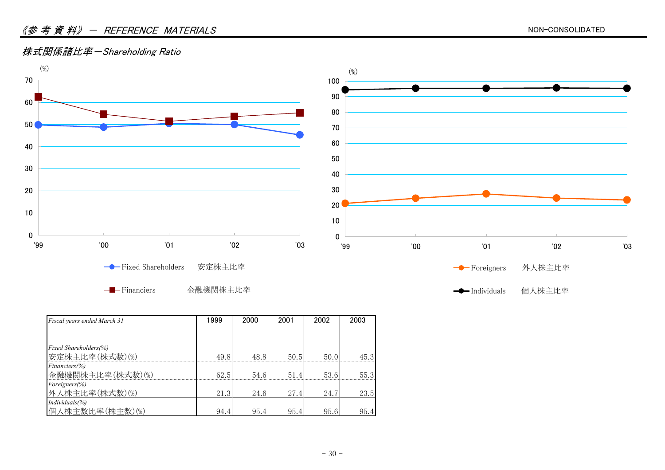#### <u>《参考資料》- REFERENCE MATERIALS</u>

#### 株式関係諸比率-Shareholding Ratio



Financiers 金融機関株主比率

| Fiscal years ended March 31   | 1999 | 2000 | 2001 | 2002 | 2003 |
|-------------------------------|------|------|------|------|------|
|                               |      |      |      |      |      |
| <b>Fixed Shareholders</b> (%) |      |      |      |      |      |
| 安定株主比率(株式数)(%)                | 49.8 | 48.8 | 50.5 | 50.0 | 45.3 |
| $Financiers (\% )$            |      |      |      |      |      |
| 金融機関株主比率(株式数)(%)              | 62.5 | 54.6 | 51.4 | 53.6 | 55.3 |
| Foreigners(%)                 |      |      |      |      |      |
| 外人株主比率(株式数)(%)                | 21.3 | 24.6 | 27.4 | 24.7 | 23.5 |
| $Individuals$ (%)             |      |      |      |      |      |
| 個人株主数比率(株主数)(%)               | 94.4 | 95.4 | 95.4 | 95.6 | 95.4 |

**← Individuals** 個人株主比率